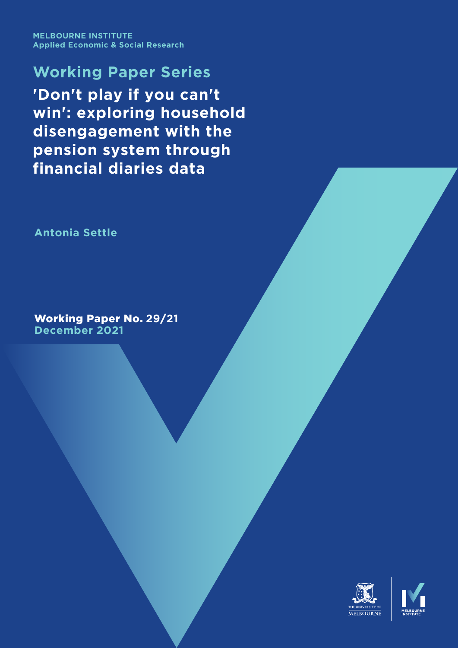**MELBOURNE INSTITUTE Applied Economic & Social Research**

**Working Paper Series 'Don't play if you can't win': exploring household disengagement with the pension system through financial diaries data**

**Antonia Settle**

Working Paper No. **29**/**21 December 2021**

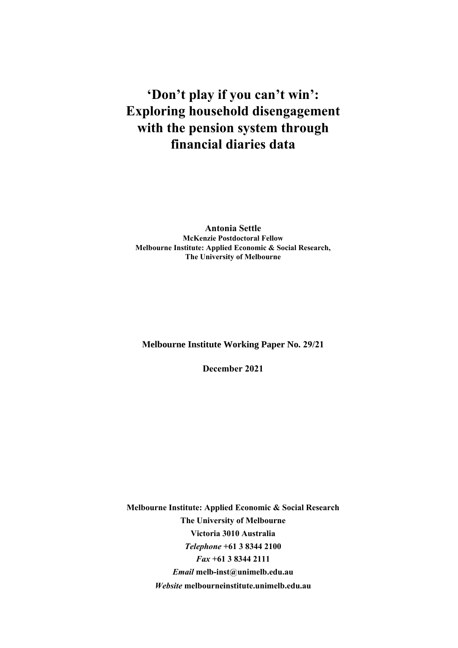# **'Don't play if you can't win': Exploring household disengagement with the pension system through financial diaries data**

**Antonia Settle McKenzie Postdoctoral Fellow Melbourne Institute: Applied Economic & Social Research, The University of Melbourne**

**Melbourne Institute Working Paper No. 29/21**

**December 2021**

**Melbourne Institute: Applied Economic & Social Research The University of Melbourne Victoria 3010 Australia**  *Telephone* **+61 3 8344 2100**  *Fax* **+61 3 8344 2111**  *Email* **melb-inst@unimelb.edu.au**  *Website* **melbourneinstitute.unimelb.edu.au**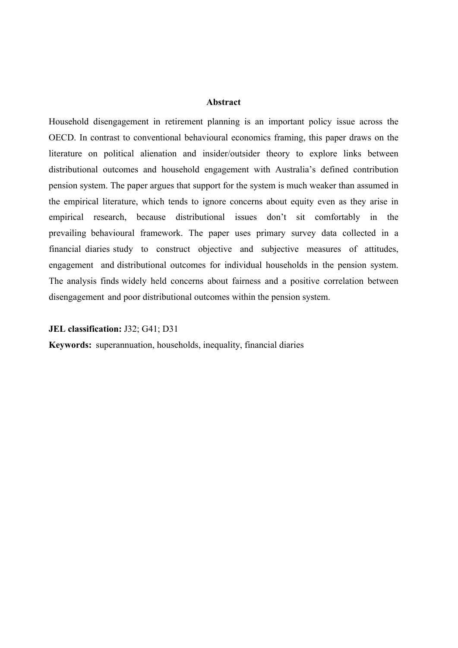#### **Abstract**

Household disengagement in retirement planning is an important policy issue across the OECD. In contrast to conventional behavioural economics framing, this paper draws on the literature on political alienation and insider/outsider theory to explore links between distributional outcomes and household engagement with Australia's defined contribution pension system. The paper argues that support for the system is much weaker than assumed in the empirical literature, which tends to ignore concerns about equity even as they arise in empirical research, because distributional issues don't sit comfortably in the prevailing behavioural framework. The paper uses primary survey data collected in a financial diaries study to construct objective and subjective measures of attitudes, engagement and distributional outcomes for individual households in the pension system. The analysis finds widely held concerns about fairness and a positive correlation between disengagement and poor distributional outcomes within the pension system.

#### **JEL classification:** J32; G41; D31

**Keywords:** superannuation, households, inequality, financial diaries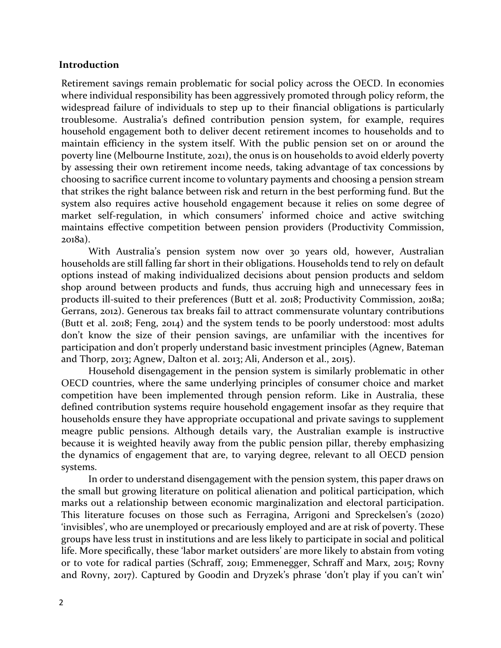### **Introduction**

Retirement savings remain problematic for social policy across the OECD. In economies where individual responsibility has been aggressively promoted through policy reform, the widespread failure of individuals to step up to their financial obligations is particularly troublesome. Australia's defined contribution pension system, for example, requires household engagement both to deliver decent retirement incomes to households and to maintain efficiency in the system itself. With the public pension set on or around the poverty line (Melbourne Institute, 2021), the onus is on households to avoid elderly poverty by assessing their own retirement income needs, taking advantage of tax concessions by choosing to sacrifice current income to voluntary payments and choosing a pension stream that strikes the right balance between risk and return in the best performing fund. But the system also requires active household engagement because it relies on some degree of market self-regulation, in which consumers' informed choice and active switching maintains effective competition between pension providers (Productivity Commission, 2018a).

With Australia's pension system now over 30 years old, however, Australian households are still falling far short in their obligations. Households tend to rely on default options instead of making individualized decisions about pension products and seldom shop around between products and funds, thus accruing high and unnecessary fees in products ill-suited to their preferences (Butt et al. 2018; Productivity Commission, 2018a; Gerrans, 2012). Generous tax breaks fail to attract commensurate voluntary contributions (Butt et al. 2018; Feng, 2014) and the system tends to be poorly understood: most adults don't know the size of their pension savings, are unfamiliar with the incentives for participation and don't properly understand basic investment principles (Agnew, Bateman and Thorp, 2013; Agnew, Dalton et al. 2013; Ali, Anderson et al., 2015).

Household disengagement in the pension system is similarly problematic in other OECD countries, where the same underlying principles of consumer choice and market competition have been implemented through pension reform. Like in Australia, these defined contribution systems require household engagement insofar as they require that households ensure they have appropriate occupational and private savings to supplement meagre public pensions. Although details vary, the Australian example is instructive because it is weighted heavily away from the public pension pillar, thereby emphasizing the dynamics of engagement that are, to varying degree, relevant to all OECD pension systems.

In order to understand disengagement with the pension system, this paper draws on the small but growing literature on political alienation and political participation, which marks out a relationship between economic marginalization and electoral participation. This literature focuses on those such as Ferragina, Arrigoni and Spreckelsen's (2020) 'invisibles', who are unemployed or precariously employed and are at risk of poverty. These groups have less trust in institutions and are less likely to participate in social and political life. More specifically, these 'labor market outsiders' are more likely to abstain from voting or to vote for radical parties (Schraff, 2019; Emmenegger, Schraff and Marx, 2015; Rovny and Rovny, 2017). Captured by Goodin and Dryzek's phrase 'don't play if you can't win'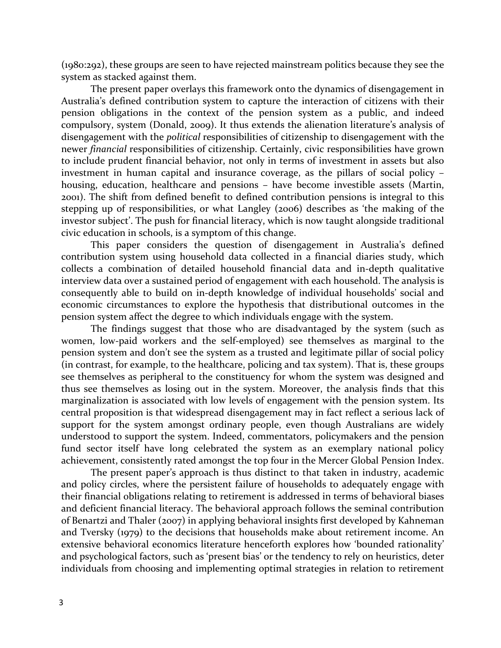(1980:292), these groups are seen to have rejected mainstream politics because they see the system as stacked against them.

The present paper overlays this framework onto the dynamics of disengagement in Australia's defined contribution system to capture the interaction of citizens with their pension obligations in the context of the pension system as a public, and indeed compulsory, system (Donald, 2009). It thus extends the alienation literature's analysis of disengagement with the *political* responsibilities of citizenship to disengagement with the newer *financial* responsibilities of citizenship. Certainly, civic responsibilities have grown to include prudent financial behavior, not only in terms of investment in assets but also investment in human capital and insurance coverage, as the pillars of social policy – housing, education, healthcare and pensions – have become investible assets (Martin, 2001). The shift from defined benefit to defined contribution pensions is integral to this stepping up of responsibilities, or what Langley (2006) describes as 'the making of the investor subject'. The push for financial literacy, which is now taught alongside traditional civic education in schools, is a symptom of this change.

This paper considers the question of disengagement in Australia's defined contribution system using household data collected in a financial diaries study, which collects a combination of detailed household financial data and in-depth qualitative interview data over a sustained period of engagement with each household. The analysis is consequently able to build on in-depth knowledge of individual households' social and economic circumstances to explore the hypothesis that distributional outcomes in the pension system affect the degree to which individuals engage with the system.

The findings suggest that those who are disadvantaged by the system (such as women, low-paid workers and the self-employed) see themselves as marginal to the pension system and don't see the system as a trusted and legitimate pillar of social policy (in contrast, for example, to the healthcare, policing and tax system). That is, these groups see themselves as peripheral to the constituency for whom the system was designed and thus see themselves as losing out in the system. Moreover, the analysis finds that this marginalization is associated with low levels of engagement with the pension system. Its central proposition is that widespread disengagement may in fact reflect a serious lack of support for the system amongst ordinary people, even though Australians are widely understood to support the system. Indeed, commentators, policymakers and the pension fund sector itself have long celebrated the system as an exemplary national policy achievement, consistently rated amongst the top four in the Mercer Global Pension Index.

The present paper's approach is thus distinct to that taken in industry, academic and policy circles, where the persistent failure of households to adequately engage with their financial obligations relating to retirement is addressed in terms of behavioral biases and deficient financial literacy. The behavioral approach follows the seminal contribution of Benartzi and Thaler (2007) in applying behavioral insights first developed by Kahneman and Tversky (1979) to the decisions that households make about retirement income. An extensive behavioral economics literature henceforth explores how 'bounded rationality' and psychological factors, such as 'present bias' or the tendency to rely on heuristics, deter individuals from choosing and implementing optimal strategies in relation to retirement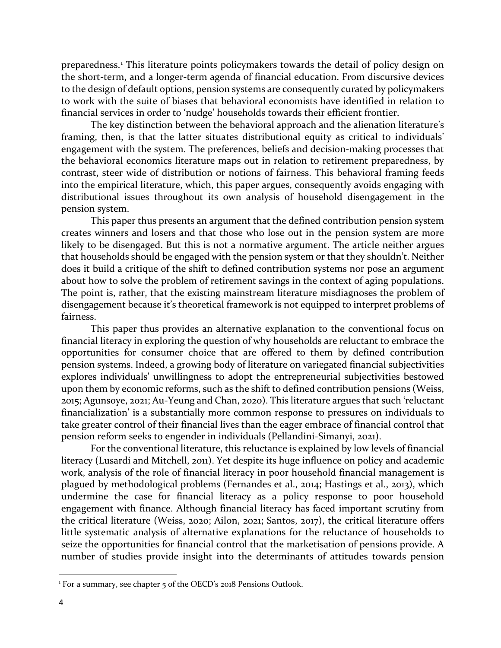preparedness.[1](#page-5-0) This literature points policymakers towards the detail of policy design on the short-term, and a longer-term agenda of financial education. From discursive devices to the design of default options, pension systems are consequently curated by policymakers to work with the suite of biases that behavioral economists have identified in relation to financial services in order to 'nudge' households towards their efficient frontier.

The key distinction between the behavioral approach and the alienation literature's framing, then, is that the latter situates distributional equity as critical to individuals' engagement with the system. The preferences, beliefs and decision-making processes that the behavioral economics literature maps out in relation to retirement preparedness, by contrast, steer wide of distribution or notions of fairness. This behavioral framing feeds into the empirical literature, which, this paper argues, consequently avoids engaging with distributional issues throughout its own analysis of household disengagement in the pension system.

This paper thus presents an argument that the defined contribution pension system creates winners and losers and that those who lose out in the pension system are more likely to be disengaged. But this is not a normative argument. The article neither argues that households should be engaged with the pension system or that they shouldn't. Neither does it build a critique of the shift to defined contribution systems nor pose an argument about how to solve the problem of retirement savings in the context of aging populations. The point is, rather, that the existing mainstream literature misdiagnoses the problem of disengagement because it's theoretical framework is not equipped to interpret problems of fairness.

This paper thus provides an alternative explanation to the conventional focus on financial literacy in exploring the question of why households are reluctant to embrace the opportunities for consumer choice that are offered to them by defined contribution pension systems. Indeed, a growing body of literature on variegated financial subjectivities explores individuals' unwillingness to adopt the entrepreneurial subjectivities bestowed upon them by economic reforms, such as the shift to defined contribution pensions (Weiss, 2015; Agunsoye, 2021; Au-Yeung and Chan, 2020). This literature argues that such 'reluctant financialization' is a substantially more common response to pressures on individuals to take greater control of their financial lives than the eager embrace of financial control that pension reform seeks to engender in individuals (Pellandini-Simanyi, 2021).

For the conventional literature, this reluctance is explained by low levels of financial literacy (Lusardi and Mitchell, 2011). Yet despite its huge influence on policy and academic work, analysis of the role of financial literacy in poor household financial management is plagued by methodological problems (Fernandes et al., 2014; Hastings et al., 2013), which undermine the case for financial literacy as a policy response to poor household engagement with finance. Although financial literacy has faced important scrutiny from the critical literature (Weiss, 2020; Ailon, 2021; Santos, 2017), the critical literature offers little systematic analysis of alternative explanations for the reluctance of households to seize the opportunities for financial control that the marketisation of pensions provide. A number of studies provide insight into the determinants of attitudes towards pension

<span id="page-5-0"></span><sup>&</sup>lt;sup>1</sup> For a summary, see chapter 5 of the OECD's 2018 Pensions Outlook.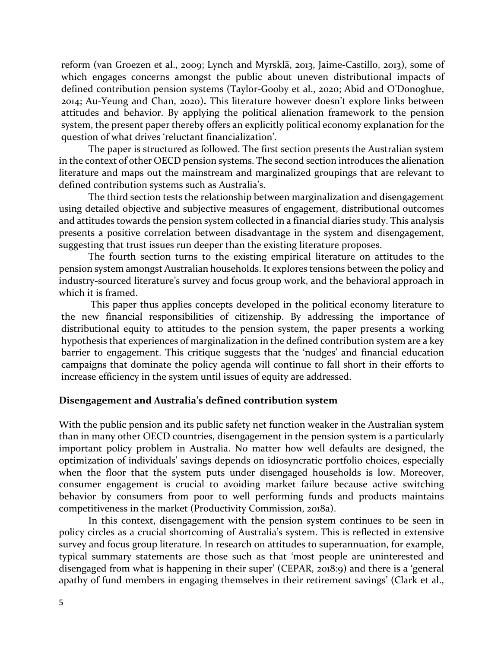reform (van Groezen et al., 2009; Lynch and Myrsklä, 2013, Jaime-Castillo, 2013), some of which engages concerns amongst the public about uneven distributional impacts of defined contribution pension systems (Taylor-Gooby et al., 2020; Abid and O'Donoghue, 2014; Au-Yeung and Chan, 2020)**.** This literature however doesn't explore links between attitudes and behavior. By applying the political alienation framework to the pension system, the present paper thereby offers an explicitly political economy explanation for the question of what drives 'reluctant financialization'.

The paper is structured as followed. The first section presents the Australian system in the context of other OECD pension systems. The second section introduces the alienation literature and maps out the mainstream and marginalized groupings that are relevant to defined contribution systems such as Australia's.

The third section tests the relationship between marginalization and disengagement using detailed objective and subjective measures of engagement, distributional outcomes and attitudes towards the pension system collected in a financial diaries study. This analysis presents a positive correlation between disadvantage in the system and disengagement, suggesting that trust issues run deeper than the existing literature proposes.

The fourth section turns to the existing empirical literature on attitudes to the pension system amongst Australian households. It explores tensions between the policy and industry-sourced literature's survey and focus group work, and the behavioral approach in which it is framed.

This paper thus applies concepts developed in the political economy literature to the new financial responsibilities of citizenship. By addressing the importance of distributional equity to attitudes to the pension system, the paper presents a working hypothesis that experiences of marginalization in the defined contribution system are a key barrier to engagement. This critique suggests that the 'nudges' and financial education campaigns that dominate the policy agenda will continue to fall short in their efforts to increase efficiency in the system until issues of equity are addressed.

### **Disengagement and Australia's defined contribution system**

With the public pension and its public safety net function weaker in the Australian system than in many other OECD countries, disengagement in the pension system is a particularly important policy problem in Australia. No matter how well defaults are designed, the optimization of individuals' savings depends on idiosyncratic portfolio choices, especially when the floor that the system puts under disengaged households is low. Moreover, consumer engagement is crucial to avoiding market failure because active switching behavior by consumers from poor to well performing funds and products maintains competitiveness in the market (Productivity Commission, 2018a).

In this context, disengagement with the pension system continues to be seen in policy circles as a crucial shortcoming of Australia's system. This is reflected in extensive survey and focus group literature. In research on attitudes to superannuation, for example, typical summary statements are those such as that 'most people are uninterested and disengaged from what is happening in their super' (CEPAR, 2018:9) and there is a 'general apathy of fund members in engaging themselves in their retirement savings' (Clark et al.,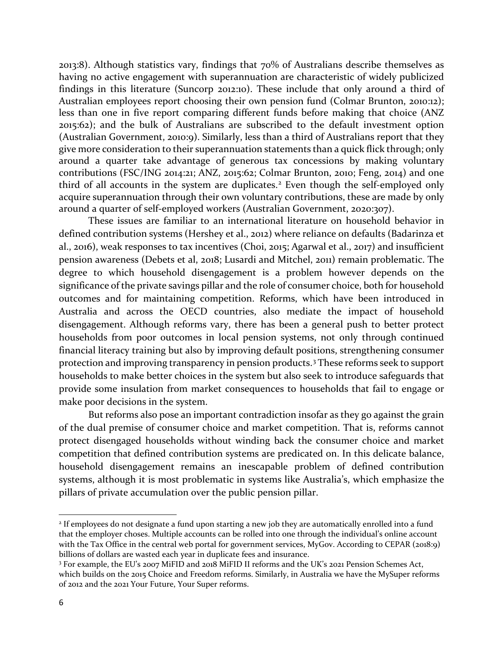2013:8). Although statistics vary, findings that 70% of Australians describe themselves as having no active engagement with superannuation are characteristic of widely publicized findings in this literature (Suncorp 2012:10). These include that only around a third of Australian employees report choosing their own pension fund (Colmar Brunton, 2010:12); less than one in five report comparing different funds before making that choice (ANZ 2015:62); and the bulk of Australians are subscribed to the default investment option (Australian Government, 2010:9). Similarly, less than a third of Australians report that they give more consideration to their superannuation statements than a quick flick through; only around a quarter take advantage of generous tax concessions by making voluntary contributions (FSC/ING 2014:21; ANZ, 2015:62; Colmar Brunton, 2010; Feng, 2014) and one third of all accounts in the system are duplicates.<sup>[2](#page-7-0)</sup> Even though the self-employed only acquire superannuation through their own voluntary contributions, these are made by only around a quarter of self-employed workers (Australian Government, 2020:307).

These issues are familiar to an international literature on household behavior in defined contribution systems (Hershey et al., 2012) where reliance on defaults (Badarinza et al., 2016), weak responses to tax incentives (Choi, 2015; Agarwal et al., 2017) and insufficient pension awareness (Debets et al, 2018; Lusardi and Mitchel, 2011) remain problematic. The degree to which household disengagement is a problem however depends on the significance of the private savings pillar and the role of consumer choice, both for household outcomes and for maintaining competition. Reforms, which have been introduced in Australia and across the OECD countries, also mediate the impact of household disengagement. Although reforms vary, there has been a general push to better protect households from poor outcomes in local pension systems, not only through continued financial literacy training but also by improving default positions, strengthening consumer protection and improving transparency in pension products.[3](#page-7-1) These reforms seek to support households to make better choices in the system but also seek to introduce safeguards that provide some insulation from market consequences to households that fail to engage or make poor decisions in the system.

But reforms also pose an important contradiction insofar as they go against the grain of the dual premise of consumer choice and market competition. That is, reforms cannot protect disengaged households without winding back the consumer choice and market competition that defined contribution systems are predicated on. In this delicate balance, household disengagement remains an inescapable problem of defined contribution systems, although it is most problematic in systems like Australia's, which emphasize the pillars of private accumulation over the public pension pillar.

<span id="page-7-0"></span><sup>2</sup> If employees do not designate a fund upon starting a new job they are automatically enrolled into a fund that the employer choses. Multiple accounts can be rolled into one through the individual's online account with the Tax Office in the central web portal for government services, MyGov. According to CEPAR (2018:9) billions of dollars are wasted each year in duplicate fees and insurance.

<span id="page-7-1"></span><sup>3</sup> For example, the EU's 2007 MiFID and 2018 MiFID II reforms and the UK's 2021 Pension Schemes Act, which builds on the 2015 Choice and Freedom reforms. Similarly, in Australia we have the MySuper reforms of 2012 and the 2021 Your Future, Your Super reforms.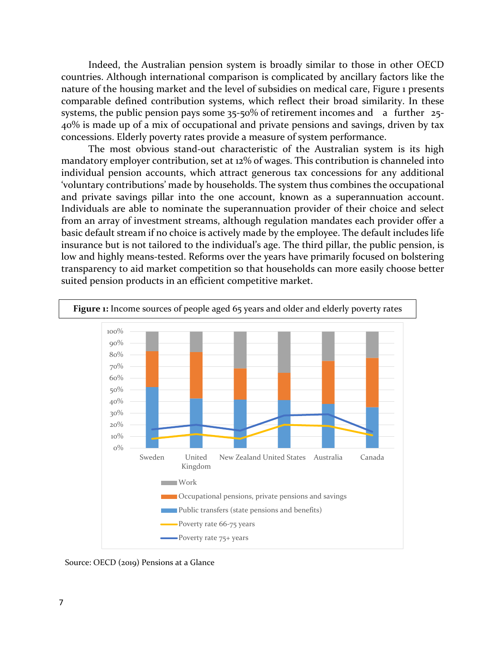Indeed, the Australian pension system is broadly similar to those in other OECD countries. Although international comparison is complicated by ancillary factors like the nature of the housing market and the level of subsidies on medical care, Figure 1 presents comparable defined contribution systems, which reflect their broad similarity. In these systems, the public pension pays some 35-50% of retirement incomes and a further 25- 40% is made up of a mix of occupational and private pensions and savings, driven by tax concessions. Elderly poverty rates provide a measure of system performance.

The most obvious stand-out characteristic of the Australian system is its high mandatory employer contribution, set at 12% of wages. This contribution is channeled into individual pension accounts, which attract generous tax concessions for any additional 'voluntary contributions' made by households. The system thus combines the occupational and private savings pillar into the one account, known as a superannuation account. Individuals are able to nominate the superannuation provider of their choice and select from an array of investment streams, although regulation mandates each provider offer a basic default stream if no choice is actively made by the employee. The default includes life insurance but is not tailored to the individual's age. The third pillar, the public pension, is low and highly means-tested. Reforms over the years have primarily focused on bolstering transparency to aid market competition so that households can more easily choose better suited pension products in an efficient competitive market.



Source: OECD (2019) Pensions at a Glance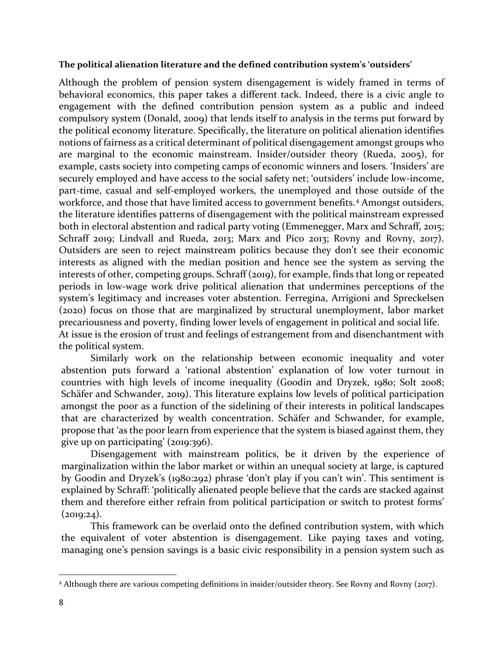#### **The political alienation literature and the defined contribution system's 'outsiders'**

Although the problem of pension system disengagement is widely framed in terms of behavioral economics, this paper takes a different tack. Indeed, there is a civic angle to engagement with the defined contribution pension system as a public and indeed compulsory system (Donald, 2009) that lends itself to analysis in the terms put forward by the political economy literature. Specifically, the literature on political alienation identifies notions of fairness as a critical determinant of political disengagement amongst groups who are marginal to the economic mainstream. Insider/outsider theory (Rueda, 2005), for example, casts society into competing camps of economic winners and losers. 'Insiders' are securely employed and have access to the social safety net; 'outsiders' include low-income, part-time, casual and self-employed workers, the unemployed and those outside of the workforce, and those that have limited access to government benefits.<sup>[4](#page-9-0)</sup> Amongst outsiders, the literature identifies patterns of disengagement with the political mainstream expressed both in electoral abstention and radical party voting (Emmenegger, Marx and Schraff, 2015; Schraff 2019; Lindvall and Rueda, 2013; Marx and Pico 2013; Rovny and Rovny, 2017). Outsiders are seen to reject mainstream politics because they don't see their economic interests as aligned with the median position and hence see the system as serving the interests of other, competing groups. Schraff (2019), for example, finds that long or repeated periods in low-wage work drive political alienation that undermines perceptions of the system's legitimacy and increases voter abstention. Ferregina, Arrigioni and Spreckelsen (2020) focus on those that are marginalized by structural unemployment, labor market precariousness and poverty, finding lower levels of engagement in political and social life. At issue is the erosion of trust and feelings of estrangement from and disenchantment with the political system.

Similarly work on the relationship between economic inequality and voter abstention puts forward a 'rational abstention' explanation of low voter turnout in countries with high levels of income inequality (Goodin and Dryzek, 1980; Solt 2008; Schäfer and Schwander, 2019). This literature explains low levels of political participation amongst the poor as a function of the sidelining of their interests in political landscapes that are characterized by wealth concentration. Schäfer and Schwander, for example, propose that 'as the poor learn from experience that the system is biased against them, they give up on participating' (2019:396).

Disengagement with mainstream politics, be it driven by the experience of marginalization within the labor market or within an unequal society at large, is captured by Goodin and Dryzek's (1980:292) phrase 'don't play if you can't win'. This sentiment is explained by Schraff: 'politically alienated people believe that the cards are stacked against them and therefore either refrain from political participation or switch to protest forms'  $(2019:24).$ 

This framework can be overlaid onto the defined contribution system, with which the equivalent of voter abstention is disengagement. Like paying taxes and voting, managing one's pension savings is a basic civic responsibility in a pension system such as

<span id="page-9-0"></span><sup>4</sup> Although there are various competing definitions in insider/outsider theory. See Rovny and Rovny (2017).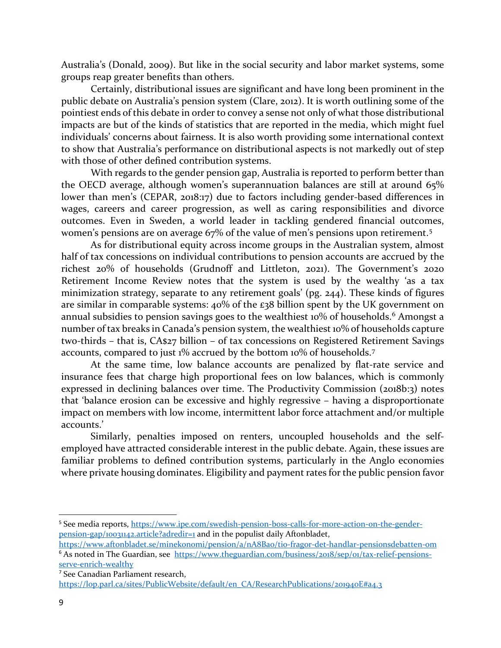Australia's (Donald, 2009). But like in the social security and labor market systems, some groups reap greater benefits than others.

Certainly, distributional issues are significant and have long been prominent in the public debate on Australia's pension system (Clare, 2012). It is worth outlining some of the pointiest ends of this debate in order to convey a sense not only of what those distributional impacts are but of the kinds of statistics that are reported in the media, which might fuel individuals' concerns about fairness. It is also worth providing some international context to show that Australia's performance on distributional aspects is not markedly out of step with those of other defined contribution systems.

With regards to the gender pension gap, Australia is reported to perform better than the OECD average, although women's superannuation balances are still at around 65% lower than men's (CEPAR, 2018:17) due to factors including gender-based differences in wages, careers and career progression, as well as caring responsibilities and divorce outcomes. Even in Sweden, a world leader in tackling gendered financial outcomes, women's pensions are on average 67% of the value of men's pensions upon retirement.[5](#page-10-0)

As for distributional equity across income groups in the Australian system, almost half of tax concessions on individual contributions to pension accounts are accrued by the richest 20% of households (Grudnoff and Littleton, 2021). The Government's 2020 Retirement Income Review notes that the system is used by the wealthy 'as a tax minimization strategy, separate to any retirement goals' (pg. 244). These kinds of figures are similar in comparable systems: 40% of the £38 billion spent by the UK government on annual subsidies to pension savings goes to the wealthiest 10% of households. [6](#page-10-1) Amongst a number of tax breaks in Canada's pension system, the wealthiest 10% of households capture two-thirds – that is, CA\$27 billion – of tax concessions on Registered Retirement Savings accounts, compared to just 1% accrued by the bottom 10% of households. [7](#page-10-2)

At the same time, low balance accounts are penalized by flat-rate service and insurance fees that charge high proportional fees on low balances, which is commonly expressed in declining balances over time. The Productivity Commission (2018b:3) notes that 'balance erosion can be excessive and highly regressive – having a disproportionate impact on members with low income, intermittent labor force attachment and/or multiple accounts.'

Similarly, penalties imposed on renters, uncoupled households and the selfemployed have attracted considerable interest in the public debate. Again, these issues are familiar problems to defined contribution systems, particularly in the Anglo economies where private housing dominates. Eligibility and payment rates for the public pension favor

<span id="page-10-0"></span><sup>5</sup> See media reports, [https://www.ipe.com/swedish-pension-boss-calls-for-more-action-on-the-gender](https://www.ipe.com/swedish-pension-boss-calls-for-more-action-on-the-gender-pension-gap/10031142.article?adredir=1)[pension-gap/10031142.article?adredir=1](https://www.ipe.com/swedish-pension-boss-calls-for-more-action-on-the-gender-pension-gap/10031142.article?adredir=1) and in the populist daily Aftonbladet,

<span id="page-10-1"></span>[https://www.aftonbladet.se/minekonomi/pension/a/nA8Bao/tio-fragor-det-handlar-pensionsdebatten-om](https://protect-au.mimecast.com/s/hWPyCNLJyQU0XNKjQFmcZ9-?domain=aftonbladet.se) <sup>6</sup> As noted in The Guardian, see [https://www.theguardian.com/business/2018/sep/01/tax-relief-pensions](https://www.theguardian.com/business/2018/sep/01/tax-relief-pensions-serve-enrich-wealthy)[serve-enrich-wealthy](https://www.theguardian.com/business/2018/sep/01/tax-relief-pensions-serve-enrich-wealthy)

<span id="page-10-2"></span><sup>7</sup> See Canadian Parliament research,

[https://lop.parl.ca/sites/PublicWebsite/default/en\\_CA/ResearchPublications/201940E#a4.3](https://lop.parl.ca/sites/PublicWebsite/default/en_CA/ResearchPublications/201940E#a4.3)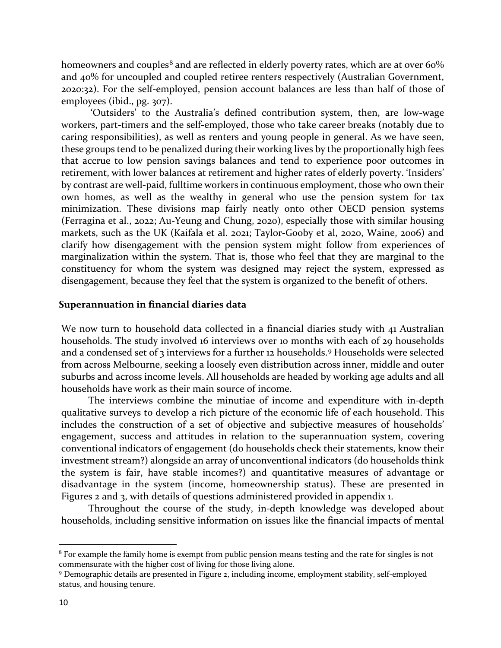homeowners and couples<sup>[8](#page-11-0)</sup> and are reflected in elderly poverty rates, which are at over 60% and 40% for uncoupled and coupled retiree renters respectively (Australian Government, 2020:32). For the self-employed, pension account balances are less than half of those of employees (ibid., pg. 307).

'Outsiders' to the Australia's defined contribution system, then, are low-wage workers, part-timers and the self-employed, those who take career breaks (notably due to caring responsibilities), as well as renters and young people in general. As we have seen, these groups tend to be penalized during their working lives by the proportionally high fees that accrue to low pension savings balances and tend to experience poor outcomes in retirement, with lower balances at retirement and higher rates of elderly poverty. 'Insiders' by contrast are well-paid, fulltime workers in continuous employment, those who own their own homes, as well as the wealthy in general who use the pension system for tax minimization. These divisions map fairly neatly onto other OECD pension systems (Ferragina et al., 2022; Au-Yeung and Chung, 2020), especially those with similar housing markets, such as the UK (Kaifala et al. 2021; Taylor-Gooby et al, 2020, Waine, 2006) and clarify how disengagement with the pension system might follow from experiences of marginalization within the system. That is, those who feel that they are marginal to the constituency for whom the system was designed may reject the system, expressed as disengagement, because they feel that the system is organized to the benefit of others.

#### **Superannuation in financial diaries data**

We now turn to household data collected in a financial diaries study with 41 Australian households. The study involved 16 interviews over 10 months with each of 29 households and a condensed set of 3 interviews for a further 12 households.<sup>[9](#page-11-1)</sup> Households were selected from across Melbourne, seeking a loosely even distribution across inner, middle and outer suburbs and across income levels. All households are headed by working age adults and all households have work as their main source of income.

The interviews combine the minutiae of income and expenditure with in-depth qualitative surveys to develop a rich picture of the economic life of each household. This includes the construction of a set of objective and subjective measures of households' engagement, success and attitudes in relation to the superannuation system, covering conventional indicators of engagement (do households check their statements, know their investment stream?) alongside an array of unconventional indicators (do households think the system is fair, have stable incomes?) and quantitative measures of advantage or disadvantage in the system (income, homeownership status). These are presented in Figures 2 and 3, with details of questions administered provided in appendix 1.

Throughout the course of the study, in-depth knowledge was developed about households, including sensitive information on issues like the financial impacts of mental

<span id="page-11-0"></span><sup>8</sup> For example the family home is exempt from public pension means testing and the rate for singles is not commensurate with the higher cost of living for those living alone.

<span id="page-11-1"></span><sup>9</sup> Demographic details are presented in Figure 2, including income, employment stability, self-employed status, and housing tenure.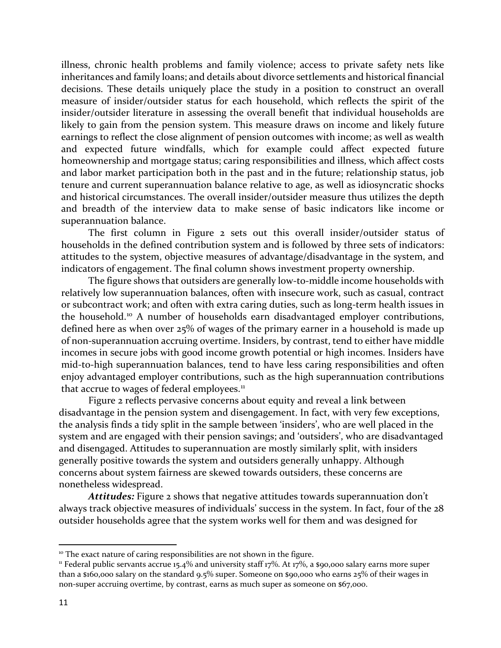illness, chronic health problems and family violence; access to private safety nets like inheritances and family loans; and details about divorce settlements and historical financial decisions. These details uniquely place the study in a position to construct an overall measure of insider/outsider status for each household, which reflects the spirit of the insider/outsider literature in assessing the overall benefit that individual households are likely to gain from the pension system. This measure draws on income and likely future earnings to reflect the close alignment of pension outcomes with income; as well as wealth and expected future windfalls, which for example could affect expected future homeownership and mortgage status; caring responsibilities and illness, which affect costs and labor market participation both in the past and in the future; relationship status, job tenure and current superannuation balance relative to age, as well as idiosyncratic shocks and historical circumstances. The overall insider/outsider measure thus utilizes the depth and breadth of the interview data to make sense of basic indicators like income or superannuation balance.

The first column in Figure 2 sets out this overall insider/outsider status of households in the defined contribution system and is followed by three sets of indicators: attitudes to the system, objective measures of advantage/disadvantage in the system, and indicators of engagement. The final column shows investment property ownership.

The figure shows that outsiders are generally low-to-middle income households with relatively low superannuation balances, often with insecure work, such as casual, contract or subcontract work; and often with extra caring duties, such as long-term health issues in the household.[10](#page-12-0) A number of households earn disadvantaged employer contributions, defined here as when over 25% of wages of the primary earner in a household is made up of non-superannuation accruing overtime. Insiders, by contrast, tend to either have middle incomes in secure jobs with good income growth potential or high incomes. Insiders have mid-to-high superannuation balances, tend to have less caring responsibilities and often enjoy advantaged employer contributions, such as the high superannuation contributions that accrue to wages of federal employees.<sup>[11](#page-12-1)</sup>

Figure 2 reflects pervasive concerns about equity and reveal a link between disadvantage in the pension system and disengagement. In fact, with very few exceptions, the analysis finds a tidy split in the sample between 'insiders', who are well placed in the system and are engaged with their pension savings; and 'outsiders', who are disadvantaged and disengaged. Attitudes to superannuation are mostly similarly split, with insiders generally positive towards the system and outsiders generally unhappy. Although concerns about system fairness are skewed towards outsiders, these concerns are nonetheless widespread.

*Attitudes:* Figure 2 shows that negative attitudes towards superannuation don't always track objective measures of individuals' success in the system. In fact, four of the 28 outsider households agree that the system works well for them and was designed for

<span id="page-12-0"></span><sup>&</sup>lt;sup>10</sup> The exact nature of caring responsibilities are not shown in the figure.

<span id="page-12-1"></span><sup>11</sup> Federal public servants accrue 15.4% and university staff 17%. At 17%, a \$90,000 salary earns more super than a \$160,000 salary on the standard 9.5% super. Someone on \$90,000 who earns 25% of their wages in non-super accruing overtime, by contrast, earns as much super as someone on \$67,000.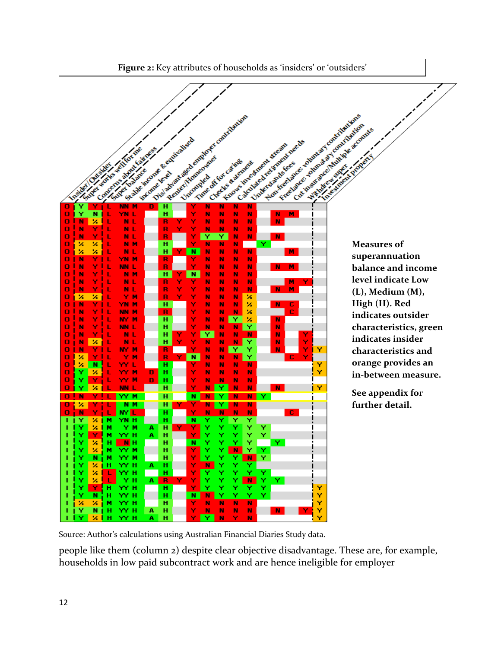

Source: Author's calculations using Australian Financial Diaries Study data.

people like them (column 2) despite clear objective disadvantage. These are, for example, households in low paid subcontract work and are hence ineligible for employer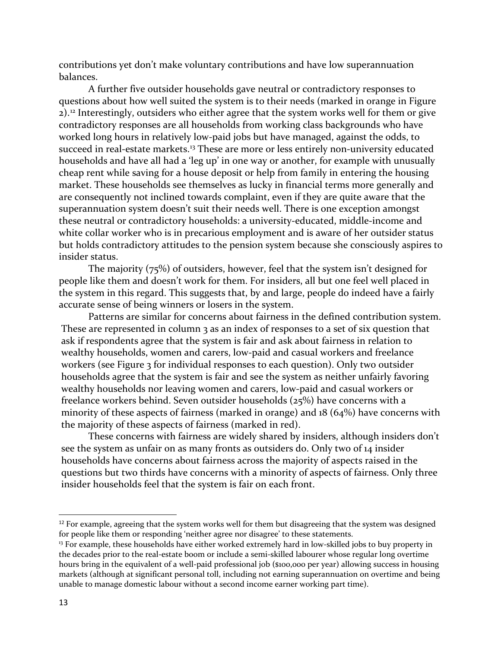contributions yet don't make voluntary contributions and have low superannuation balances.

A further five outsider households gave neutral or contradictory responses to questions about how well suited the system is to their needs (marked in orange in Figure 2). [12](#page-14-0) Interestingly, outsiders who either agree that the system works well for them or give contradictory responses are all households from working class backgrounds who have worked long hours in relatively low-paid jobs but have managed, against the odds, to succeed in real-estate markets.<sup>[13](#page-14-1)</sup> These are more or less entirely non-university educated households and have all had a 'leg up' in one way or another, for example with unusually cheap rent while saving for a house deposit or help from family in entering the housing market. These households see themselves as lucky in financial terms more generally and are consequently not inclined towards complaint, even if they are quite aware that the superannuation system doesn't suit their needs well. There is one exception amongst these neutral or contradictory households: a university-educated, middle-income and white collar worker who is in precarious employment and is aware of her outsider status but holds contradictory attitudes to the pension system because she consciously aspires to insider status.

The majority (75%) of outsiders, however, feel that the system isn't designed for people like them and doesn't work for them. For insiders, all but one feel well placed in the system in this regard. This suggests that, by and large, people do indeed have a fairly accurate sense of being winners or losers in the system.

Patterns are similar for concerns about fairness in the defined contribution system. These are represented in column 3 as an index of responses to a set of six question that ask if respondents agree that the system is fair and ask about fairness in relation to wealthy households, women and carers, low-paid and casual workers and freelance workers (see Figure 3 for individual responses to each question). Only two outsider households agree that the system is fair and see the system as neither unfairly favoring wealthy households nor leaving women and carers, low-paid and casual workers or freelance workers behind. Seven outsider households (25%) have concerns with a minority of these aspects of fairness (marked in orange) and 18 (64%) have concerns with the majority of these aspects of fairness (marked in red).

These concerns with fairness are widely shared by insiders, although insiders don't see the system as unfair on as many fronts as outsiders do. Only two of 14 insider households have concerns about fairness across the majority of aspects raised in the questions but two thirds have concerns with a minority of aspects of fairness. Only three insider households feel that the system is fair on each front.

<span id="page-14-0"></span> $12$  For example, agreeing that the system works well for them but disagreeing that the system was designed for people like them or responding 'neither agree nor disagree' to these statements.

<span id="page-14-1"></span><sup>&</sup>lt;sup>13</sup> For example, these households have either worked extremely hard in low-skilled jobs to buy property in the decades prior to the real-estate boom or include a semi-skilled labourer whose regular long overtime hours bring in the equivalent of a well-paid professional job (\$100,000 per year) allowing success in housing markets (although at significant personal toll, including not earning superannuation on overtime and being unable to manage domestic labour without a second income earner working part time).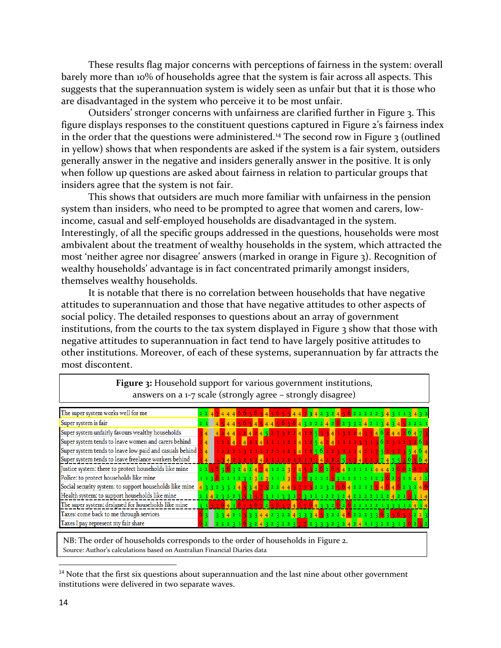These results flag major concerns with perceptions of fairness in the system: overall barely more than 10% of households agree that the system is fair across all aspects. This suggests that the superannuation system is widely seen as unfair but that it is those who are disadvantaged in the system who perceive it to be most unfair.

Outsiders' stronger concerns with unfairness are clarified further in Figure 3. This figure displays responses to the constituent questions captured in Figure 2's fairness index in the order that the questions were administered.<sup>[14](#page-15-0)</sup> The second row in Figure 3 (outlined in yellow) shows that when respondents are asked if the system is a fair system, outsiders generally answer in the negative and insiders generally answer in the positive. It is only when follow up questions are asked about fairness in relation to particular groups that insiders agree that the system is not fair.

This shows that outsiders are much more familiar with unfairness in the pension system than insiders, who need to be prompted to agree that women and carers, lowincome, casual and self-employed households are disadvantaged in the system. Interestingly, of all the specific groups addressed in the questions, households were most ambivalent about the treatment of wealthy households in the system, which attracted the most 'neither agree nor disagree' answers (marked in orange in Figure 3). Recognition of wealthy households' advantage is in fact concentrated primarily amongst insiders, themselves wealthy households.

It is notable that there is no correlation between households that have negative attitudes to superannuation and those that have negative attitudes to other aspects of social policy. The detailed responses to questions about an array of government institutions, from the courts to the tax system displayed in Figure 3 show that those with negative attitudes to superannuation in fact tend to have largely positive attitudes to other institutions. Moreover, of each of these systems, superannuation by far attracts the most discontent.

| $\frac{1}{2}$ and $\frac{1}{2}$ and $\frac{1}{2}$ are $\frac{1}{2}$ and $\frac{1}{2}$ are $\frac{1}{2}$ and $\frac{1}{2}$ and $\frac{1}{2}$ and $\frac{1}{2}$ |  |                                 |  |  |  |  |  |  |  |  |  |  |  |  |  |  |  |                                                                                                                                              |                                                                                                                                                             |  |
|---------------------------------------------------------------------------------------------------------------------------------------------------------------|--|---------------------------------|--|--|--|--|--|--|--|--|--|--|--|--|--|--|--|----------------------------------------------------------------------------------------------------------------------------------------------|-------------------------------------------------------------------------------------------------------------------------------------------------------------|--|
| The super system works well for me                                                                                                                            |  |                                 |  |  |  |  |  |  |  |  |  |  |  |  |  |  |  |                                                                                                                                              | <mark>2247444665654565544734232456</mark> 222223 <mark>4</mark> 3113 <mark>4</mark> 32                                                                      |  |
| Super system is fair                                                                                                                                          |  |                                 |  |  |  |  |  |  |  |  |  |  |  |  |  |  |  |                                                                                                                                              | 1454456545445656 <mark>432224</mark> 2 <mark>6</mark> 2332 <mark>4</mark> 213 <mark>4345</mark> 2221                                                        |  |
| Super system unfairly favours wealthy households                                                                                                              |  |                                 |  |  |  |  |  |  |  |  |  |  |  |  |  |  |  |                                                                                                                                              | 3 <mark>4 4 2 4 4 1 2 4 2 4 5</mark> 2 3 3 2 2 <mark>4 1 2 5 3 3 4 1 3 2 2 4 3 3 4 <sup>6</sup> 2 4 4 2 <mark>6 4</mark> 7 <mark>1</mark></mark>            |  |
| Super system tends to leave women and carers behind                                                                                                           |  |                                 |  |  |  |  |  |  |  |  |  |  |  |  |  |  |  |                                                                                                                                              | 1 2 2 4 1 4 1 1 4 1 1 1 1 2 1 4 <mark>1 2 5 4 2 4</mark> 1 1 1 1 3 3 1 3 <mark>6</mark> 2 3 1 2 <u>3</u> 2 <mark>6</mark> 3                                 |  |
| Super system tends to leave low paid and casuals behind                                                                                                       |  | $\blacksquare$ 4 $\blacksquare$ |  |  |  |  |  |  |  |  |  |  |  |  |  |  |  |                                                                                                                                              | <u>122213112122123412562231114213523235464</u>                                                                                                              |  |
| Super system tends to leave freelance workers behind                                                                                                          |  |                                 |  |  |  |  |  |  |  |  |  |  |  |  |  |  |  |                                                                                                                                              | 1 4 <mark>1 3 4 2 3 2 1 3</mark> 4 2 1 1 2 2 1 2 1 1 3 <mark>4</mark> 2 2 2 <mark>5 1 3 4 2 1 3 7 4 5 5 3 6 5 6 4</mark>                                    |  |
| Justice system: there to protect households like mine                                                                                                         |  |                                 |  |  |  |  |  |  |  |  |  |  |  |  |  |  |  |                                                                                                                                              | <mark>2 2 5 6 3 6 3 2 4 2 4 7 4 1 2 2 3 7 4 5 5 2 6 2 6 5 4</mark> 2 2 1 1 1 <mark>4 4 4 2 6 6 2 6 7 5</mark>                                               |  |
| Police: to protect households like mine                                                                                                                       |  |                                 |  |  |  |  |  |  |  |  |  |  |  |  |  |  |  |                                                                                                                                              |                                                                                                                                                             |  |
| Social security system: to support households like mine                                                                                                       |  |                                 |  |  |  |  |  |  |  |  |  |  |  |  |  |  |  |                                                                                                                                              | <mark>4</mark> 3 3 2 3 3 1 4 <mark>5 3 4 7 5</mark> 2 2 4 4 <mark>5 7 7 5</mark> 2 2 3 2 <mark>5 6 4</mark> 2 2 1 3 <mark>5 4 6 4 6</mark> 2 <u>3</u> 2 4 6 |  |
| Health system: to support households like mine                                                                                                                |  |                                 |  |  |  |  |  |  |  |  |  |  |  |  |  |  |  | 2 1 <mark>4</mark> 2 3 2 2 3 <mark>5 3 5 7</mark> 3 1 1 3 3 1 <mark>7</mark> 3 1 2 1 2 2 3 2 <mark>4</mark> 2 2 2 2 1 2 2 <mark>4</mark> 2 1 |                                                                                                                                                             |  |
| The super system: designed for households like mine                                                                                                           |  |                                 |  |  |  |  |  |  |  |  |  |  |  |  |  |  |  |                                                                                                                                              | <mark>3 1 5 7 6 4 3 6 7 5 6 7 2 5 6 5 7 4 6 7 6 4 3 3 2 6 2 2 0 2 2 1 2 2 1 3 3 3 1 2 4 1 4</mark>                                                          |  |
| Taxes: come back to me through services                                                                                                                       |  |                                 |  |  |  |  |  |  |  |  |  |  |  |  |  |  |  |                                                                                                                                              | 334215334423224333453224622233635655223                                                                                                                     |  |
| Taxes I pay represent my fair share                                                                                                                           |  |                                 |  |  |  |  |  |  |  |  |  |  |  |  |  |  |  | 2231632432322377233323242411322313                                                                                                           |                                                                                                                                                             |  |

**Figure 3:** Household support for various government institutions, answers on a 1-7 scale (strongly agree – strongly disagree)

NB: The order of households corresponds to the order of households in Figure 2. Source: Author's calculations based on Australian Financial Diaries data

<span id="page-15-0"></span> $14$  Note that the first six questions about superannuation and the last nine about other government institutions were delivered in two separate waves.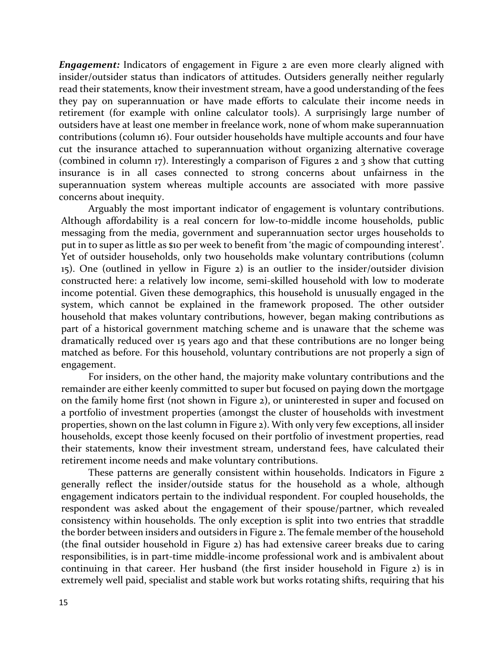*Engagement:* Indicators of engagement in Figure 2 are even more clearly aligned with insider/outsider status than indicators of attitudes. Outsiders generally neither regularly read their statements, know their investment stream, have a good understanding of the fees they pay on superannuation or have made efforts to calculate their income needs in retirement (for example with online calculator tools). A surprisingly large number of outsiders have at least one member in freelance work, none of whom make superannuation contributions (column 16). Four outsider households have multiple accounts and four have cut the insurance attached to superannuation without organizing alternative coverage (combined in column 17). Interestingly a comparison of Figures 2 and 3 show that cutting insurance is in all cases connected to strong concerns about unfairness in the superannuation system whereas multiple accounts are associated with more passive concerns about inequity.

Arguably the most important indicator of engagement is voluntary contributions. Although affordability is a real concern for low-to-middle income households, public messaging from the media, government and superannuation sector urges households to put in to super as little as \$10 per week to benefit from 'the magic of compounding interest'. Yet of outsider households, only two households make voluntary contributions (column 15). One (outlined in yellow in Figure 2) is an outlier to the insider/outsider division constructed here: a relatively low income, semi-skilled household with low to moderate income potential. Given these demographics, this household is unusually engaged in the system, which cannot be explained in the framework proposed. The other outsider household that makes voluntary contributions, however, began making contributions as part of a historical government matching scheme and is unaware that the scheme was dramatically reduced over 15 years ago and that these contributions are no longer being matched as before. For this household, voluntary contributions are not properly a sign of engagement.

For insiders, on the other hand, the majority make voluntary contributions and the remainder are either keenly committed to super but focused on paying down the mortgage on the family home first (not shown in Figure 2), or uninterested in super and focused on a portfolio of investment properties (amongst the cluster of households with investment properties, shown on the last column in Figure 2). With only very few exceptions, all insider households, except those keenly focused on their portfolio of investment properties, read their statements, know their investment stream, understand fees, have calculated their retirement income needs and make voluntary contributions.

These patterns are generally consistent within households. Indicators in Figure 2 generally reflect the insider/outside status for the household as a whole, although engagement indicators pertain to the individual respondent. For coupled households, the respondent was asked about the engagement of their spouse/partner, which revealed consistency within households. The only exception is split into two entries that straddle the border between insiders and outsiders in Figure 2. The female member of the household (the final outsider household in Figure 2) has had extensive career breaks due to caring responsibilities, is in part-time middle-income professional work and is ambivalent about continuing in that career. Her husband (the first insider household in Figure 2) is in extremely well paid, specialist and stable work but works rotating shifts, requiring that his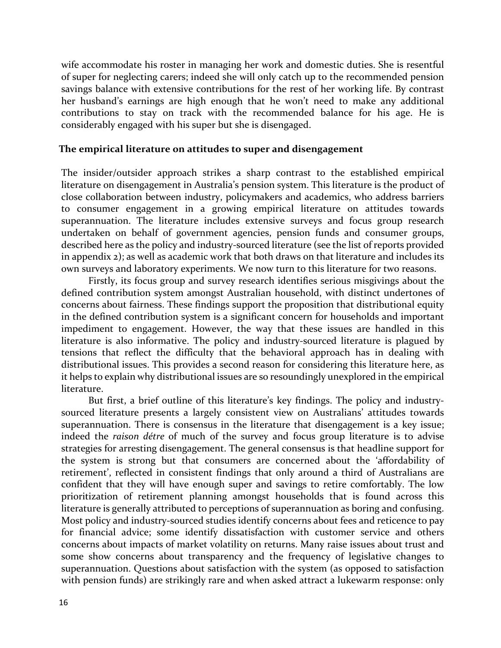wife accommodate his roster in managing her work and domestic duties. She is resentful of super for neglecting carers; indeed she will only catch up to the recommended pension savings balance with extensive contributions for the rest of her working life. By contrast her husband's earnings are high enough that he won't need to make any additional contributions to stay on track with the recommended balance for his age. He is considerably engaged with his super but she is disengaged.

### **The empirical literature on attitudes to super and disengagement**

The insider/outsider approach strikes a sharp contrast to the established empirical literature on disengagement in Australia's pension system. This literature is the product of close collaboration between industry, policymakers and academics, who address barriers to consumer engagement in a growing empirical literature on attitudes towards superannuation. The literature includes extensive surveys and focus group research undertaken on behalf of government agencies, pension funds and consumer groups, described here as the policy and industry-sourced literature (see the list of reports provided in appendix 2); as well as academic work that both draws on that literature and includes its own surveys and laboratory experiments. We now turn to this literature for two reasons.

Firstly, its focus group and survey research identifies serious misgivings about the defined contribution system amongst Australian household, with distinct undertones of concerns about fairness. These findings support the proposition that distributional equity in the defined contribution system is a significant concern for households and important impediment to engagement. However, the way that these issues are handled in this literature is also informative. The policy and industry-sourced literature is plagued by tensions that reflect the difficulty that the behavioral approach has in dealing with distributional issues. This provides a second reason for considering this literature here, as it helps to explain why distributional issues are so resoundingly unexplored in the empirical literature.

But first, a brief outline of this literature's key findings. The policy and industrysourced literature presents a largely consistent view on Australians' attitudes towards superannuation. There is consensus in the literature that disengagement is a key issue; indeed the *raison détre* of much of the survey and focus group literature is to advise strategies for arresting disengagement. The general consensus is that headline support for the system is strong but that consumers are concerned about the 'affordability of retirement', reflected in consistent findings that only around a third of Australians are confident that they will have enough super and savings to retire comfortably. The low prioritization of retirement planning amongst households that is found across this literature is generally attributed to perceptions of superannuation as boring and confusing. Most policy and industry-sourced studies identify concerns about fees and reticence to pay for financial advice; some identify dissatisfaction with customer service and others concerns about impacts of market volatility on returns. Many raise issues about trust and some show concerns about transparency and the frequency of legislative changes to superannuation. Questions about satisfaction with the system (as opposed to satisfaction with pension funds) are strikingly rare and when asked attract a lukewarm response: only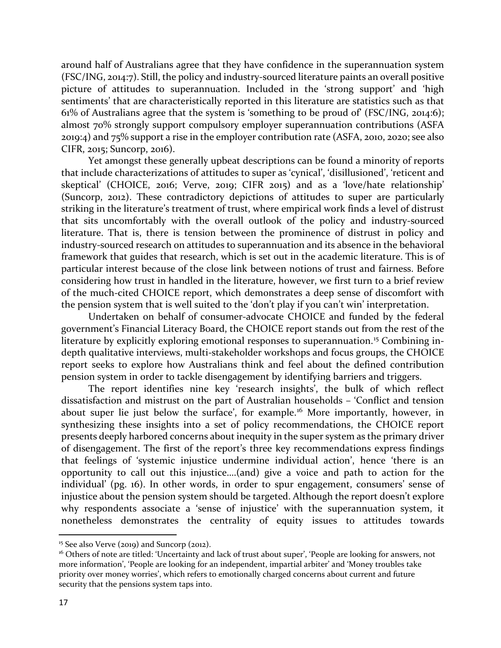around half of Australians agree that they have confidence in the superannuation system (FSC/ING, 2014:7). Still, the policy and industry-sourced literature paints an overall positive picture of attitudes to superannuation. Included in the 'strong support' and 'high sentiments' that are characteristically reported in this literature are statistics such as that 61% of Australians agree that the system is 'something to be proud of' (FSC/ING, 2014:6); almost 70% strongly support compulsory employer superannuation contributions (ASFA 2019:4) and 75% support a rise in the employer contribution rate (ASFA, 2010, 2020; see also CIFR, 2015; Suncorp, 2016).

Yet amongst these generally upbeat descriptions can be found a minority of reports that include characterizations of attitudes to super as 'cynical', 'disillusioned', 'reticent and skeptical' (CHOICE, 2016; Verve, 2019; CIFR 2015) and as a 'love/hate relationship' (Suncorp, 2012). These contradictory depictions of attitudes to super are particularly striking in the literature's treatment of trust, where empirical work finds a level of distrust that sits uncomfortably with the overall outlook of the policy and industry-sourced literature. That is, there is tension between the prominence of distrust in policy and industry-sourced research on attitudes to superannuation and its absence in the behavioral framework that guides that research, which is set out in the academic literature. This is of particular interest because of the close link between notions of trust and fairness. Before considering how trust in handled in the literature, however, we first turn to a brief review of the much-cited CHOICE report, which demonstrates a deep sense of discomfort with the pension system that is well suited to the 'don't play if you can't win' interpretation.

Undertaken on behalf of consumer-advocate CHOICE and funded by the federal government's Financial Literacy Board, the CHOICE report stands out from the rest of the literature by explicitly exploring emotional responses to superannuation.<sup>[15](#page-18-0)</sup> Combining indepth qualitative interviews, multi-stakeholder workshops and focus groups, the CHOICE report seeks to explore how Australians think and feel about the defined contribution pension system in order to tackle disengagement by identifying barriers and triggers.

The report identifies nine key 'research insights', the bulk of which reflect dissatisfaction and mistrust on the part of Australian households – 'Conflict and tension about super lie just below the surface', for example.<sup>[16](#page-18-1)</sup> More importantly, however, in synthesizing these insights into a set of policy recommendations, the CHOICE report presents deeply harbored concerns about inequity in the super system as the primary driver of disengagement. The first of the report's three key recommendations express findings that feelings of 'systemic injustice undermine individual action', hence 'there is an opportunity to call out this injustice….(and) give a voice and path to action for the individual' (pg. 16). In other words, in order to spur engagement, consumers' sense of injustice about the pension system should be targeted. Although the report doesn't explore why respondents associate a 'sense of injustice' with the superannuation system, it nonetheless demonstrates the centrality of equity issues to attitudes towards

<span id="page-18-0"></span><sup>&</sup>lt;sup>15</sup> See also Verve (2019) and Suncorp (2012).

<span id="page-18-1"></span><sup>&</sup>lt;sup>16</sup> Others of note are titled: 'Uncertainty and lack of trust about super', 'People are looking for answers, not more information', 'People are looking for an independent, impartial arbiter' and 'Money troubles take priority over money worries', which refers to emotionally charged concerns about current and future security that the pensions system taps into.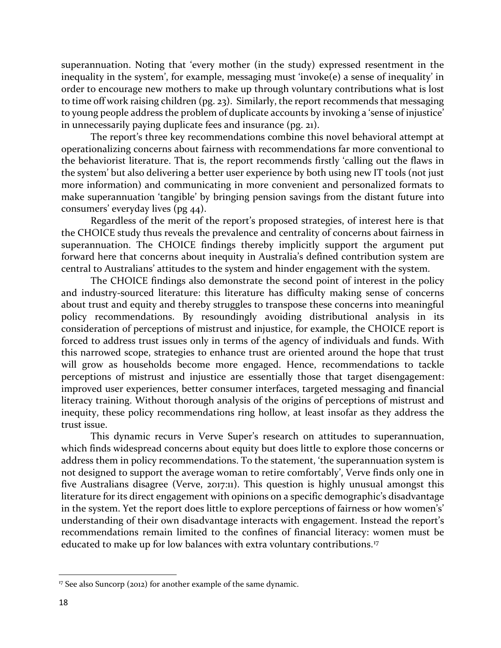superannuation. Noting that 'every mother (in the study) expressed resentment in the inequality in the system', for example, messaging must 'invoke(e) a sense of inequality' in order to encourage new mothers to make up through voluntary contributions what is lost to time off work raising children (pg. 23). Similarly, the report recommends that messaging to young people address the problem of duplicate accounts by invoking a 'sense of injustice' in unnecessarily paying duplicate fees and insurance (pg. 21).

The report's three key recommendations combine this novel behavioral attempt at operationalizing concerns about fairness with recommendations far more conventional to the behaviorist literature. That is, the report recommends firstly 'calling out the flaws in the system' but also delivering a better user experience by both using new IT tools (not just more information) and communicating in more convenient and personalized formats to make superannuation 'tangible' by bringing pension savings from the distant future into consumers' everyday lives (pg 44).

Regardless of the merit of the report's proposed strategies, of interest here is that the CHOICE study thus reveals the prevalence and centrality of concerns about fairness in superannuation. The CHOICE findings thereby implicitly support the argument put forward here that concerns about inequity in Australia's defined contribution system are central to Australians' attitudes to the system and hinder engagement with the system.

The CHOICE findings also demonstrate the second point of interest in the policy and industry-sourced literature: this literature has difficulty making sense of concerns about trust and equity and thereby struggles to transpose these concerns into meaningful policy recommendations. By resoundingly avoiding distributional analysis in its consideration of perceptions of mistrust and injustice, for example, the CHOICE report is forced to address trust issues only in terms of the agency of individuals and funds. With this narrowed scope, strategies to enhance trust are oriented around the hope that trust will grow as households become more engaged. Hence, recommendations to tackle perceptions of mistrust and injustice are essentially those that target disengagement: improved user experiences, better consumer interfaces, targeted messaging and financial literacy training. Without thorough analysis of the origins of perceptions of mistrust and inequity, these policy recommendations ring hollow, at least insofar as they address the trust issue.

This dynamic recurs in Verve Super's research on attitudes to superannuation, which finds widespread concerns about equity but does little to explore those concerns or address them in policy recommendations. To the statement, 'the superannuation system is not designed to support the average woman to retire comfortably', Verve finds only one in five Australians disagree (Verve, 2017:11). This question is highly unusual amongst this literature for its direct engagement with opinions on a specific demographic's disadvantage in the system. Yet the report does little to explore perceptions of fairness or how women's' understanding of their own disadvantage interacts with engagement. Instead the report's recommendations remain limited to the confines of financial literacy: women must be educated to make up for low balances with extra voluntary contributions.<sup>[17](#page-19-0)</sup>

<span id="page-19-0"></span><sup>&</sup>lt;sup>17</sup> See also Suncorp (2012) for another example of the same dynamic.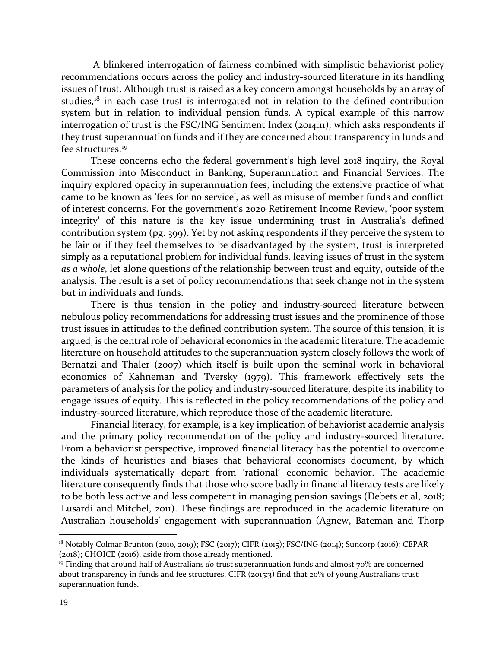A blinkered interrogation of fairness combined with simplistic behaviorist policy recommendations occurs across the policy and industry-sourced literature in its handling issues of trust. Although trust is raised as a key concern amongst households by an array of studies,<sup>[18](#page-20-0)</sup> in each case trust is interrogated not in relation to the defined contribution system but in relation to individual pension funds. A typical example of this narrow interrogation of trust is the FSC/ING Sentiment Index (2014:11), which asks respondents if they trust superannuation funds and if they are concerned about transparency in funds and fee structures.<sup>[19](#page-20-1)</sup>

These concerns echo the federal government's high level 2018 inquiry, the Royal Commission into Misconduct in Banking, Superannuation and Financial Services. The inquiry explored opacity in superannuation fees, including the extensive practice of what came to be known as 'fees for no service', as well as misuse of member funds and conflict of interest concerns. For the government's 2020 Retirement Income Review, 'poor system integrity' of this nature is the key issue undermining trust in Australia's defined contribution system (pg. 399). Yet by not asking respondents if they perceive the system to be fair or if they feel themselves to be disadvantaged by the system, trust is interpreted simply as a reputational problem for individual funds, leaving issues of trust in the system *as a whole*, let alone questions of the relationship between trust and equity, outside of the analysis. The result is a set of policy recommendations that seek change not in the system but in individuals and funds.

There is thus tension in the policy and industry-sourced literature between nebulous policy recommendations for addressing trust issues and the prominence of those trust issues in attitudes to the defined contribution system. The source of this tension, it is argued, is the central role of behavioral economics in the academic literature. The academic literature on household attitudes to the superannuation system closely follows the work of Bernatzi and Thaler (2007) which itself is built upon the seminal work in behavioral economics of Kahneman and Tversky (1979). This framework effectively sets the parameters of analysis for the policy and industry-sourced literature, despite its inability to engage issues of equity. This is reflected in the policy recommendations of the policy and industry-sourced literature, which reproduce those of the academic literature.

Financial literacy, for example, is a key implication of behaviorist academic analysis and the primary policy recommendation of the policy and industry-sourced literature. From a behaviorist perspective, improved financial literacy has the potential to overcome the kinds of heuristics and biases that behavioral economists document, by which individuals systematically depart from 'rational' economic behavior. The academic literature consequently finds that those who score badly in financial literacy tests are likely to be both less active and less competent in managing pension savings (Debets et al, 2018; Lusardi and Mitchel, 2011). These findings are reproduced in the academic literature on Australian households' engagement with superannuation (Agnew, Bateman and Thorp

<span id="page-20-0"></span><sup>18</sup> Notably Colmar Brunton (2010, 2019); FSC (2017); CIFR (2015); FSC/ING (2014); Suncorp (2016); CEPAR (2018); CHOICE (2016), aside from those already mentioned.

<span id="page-20-1"></span><sup>19</sup> Finding that around half of Australians *do* trust superannuation funds and almost 70% are concerned about transparency in funds and fee structures. CIFR (2015:3) find that 20% of young Australians trust superannuation funds.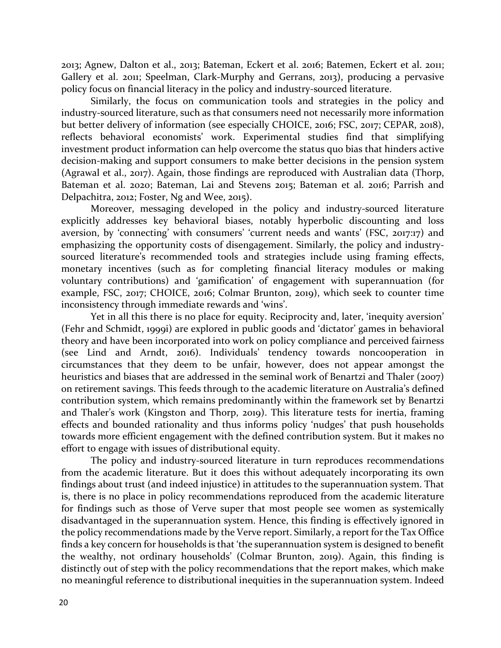2013; Agnew, Dalton et al., 2013; Bateman, Eckert et al. 2016; Batemen, Eckert et al. 2011; Gallery et al. 2011; Speelman, Clark-Murphy and Gerrans, 2013), producing a pervasive policy focus on financial literacy in the policy and industry-sourced literature.

Similarly, the focus on communication tools and strategies in the policy and industry-sourced literature, such as that consumers need not necessarily more information but better delivery of information (see especially CHOICE, 2016; FSC, 2017; CEPAR, 2018), reflects behavioral economists' work. Experimental studies find that simplifying investment product information can help overcome the status quo bias that hinders active decision-making and support consumers to make better decisions in the pension system (Agrawal et al., 2017). Again, those findings are reproduced with Australian data (Thorp, Bateman et al. 2020; Bateman, Lai and Stevens 2015; Bateman et al. 2016; Parrish and Delpachitra, 2012; Foster, Ng and Wee, 2015).

Moreover, messaging developed in the policy and industry-sourced literature explicitly addresses key behavioral biases, notably hyperbolic discounting and loss aversion, by 'connecting' with consumers' 'current needs and wants' (FSC, 2017:17) and emphasizing the opportunity costs of disengagement. Similarly, the policy and industrysourced literature's recommended tools and strategies include using framing effects, monetary incentives (such as for completing financial literacy modules or making voluntary contributions) and 'gamification' of engagement with superannuation (for example, FSC, 2017; CHOICE, 2016; Colmar Brunton, 2019), which seek to counter time inconsistency through immediate rewards and 'wins'.

Yet in all this there is no place for equity. Reciprocity and, later, 'inequity aversion' (Fehr and Schmidt, 1999i) are explored in public goods and 'dictator' games in behavioral theory and have been incorporated into work on policy compliance and perceived fairness (see Lind and Arndt, 2016). Individuals' tendency towards noncooperation in circumstances that they deem to be unfair, however, does not appear amongst the heuristics and biases that are addressed in the seminal work of Benartzi and Thaler (2007) on retirement savings. This feeds through to the academic literature on Australia's defined contribution system, which remains predominantly within the framework set by Benartzi and Thaler's work (Kingston and Thorp, 2019). This literature tests for inertia, framing effects and bounded rationality and thus informs policy 'nudges' that push households towards more efficient engagement with the defined contribution system. But it makes no effort to engage with issues of distributional equity.

The policy and industry-sourced literature in turn reproduces recommendations from the academic literature. But it does this without adequately incorporating its own findings about trust (and indeed injustice) in attitudes to the superannuation system. That is, there is no place in policy recommendations reproduced from the academic literature for findings such as those of Verve super that most people see women as systemically disadvantaged in the superannuation system. Hence, this finding is effectively ignored in the policy recommendations made by the Verve report. Similarly, a report for the Tax Office finds a key concern for households is that 'the superannuation system is designed to benefit the wealthy, not ordinary households' (Colmar Brunton, 2019). Again, this finding is distinctly out of step with the policy recommendations that the report makes, which make no meaningful reference to distributional inequities in the superannuation system. Indeed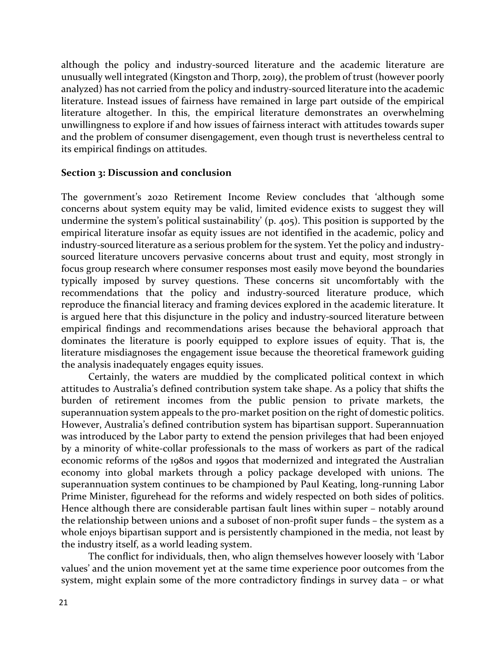although the policy and industry-sourced literature and the academic literature are unusually well integrated (Kingston and Thorp, 2019), the problem of trust (however poorly analyzed) has not carried from the policy and industry-sourced literature into the academic literature. Instead issues of fairness have remained in large part outside of the empirical literature altogether. In this, the empirical literature demonstrates an overwhelming unwillingness to explore if and how issues of fairness interact with attitudes towards super and the problem of consumer disengagement, even though trust is nevertheless central to its empirical findings on attitudes.

## **Section 3: Discussion and conclusion**

The government's 2020 Retirement Income Review concludes that 'although some concerns about system equity may be valid, limited evidence exists to suggest they will undermine the system's political sustainability' (p. 405). This position is supported by the empirical literature insofar as equity issues are not identified in the academic, policy and industry-sourced literature as a serious problem for the system. Yet the policy and industrysourced literature uncovers pervasive concerns about trust and equity, most strongly in focus group research where consumer responses most easily move beyond the boundaries typically imposed by survey questions. These concerns sit uncomfortably with the recommendations that the policy and industry-sourced literature produce, which reproduce the financial literacy and framing devices explored in the academic literature. It is argued here that this disjuncture in the policy and industry-sourced literature between empirical findings and recommendations arises because the behavioral approach that dominates the literature is poorly equipped to explore issues of equity. That is, the literature misdiagnoses the engagement issue because the theoretical framework guiding the analysis inadequately engages equity issues.

Certainly, the waters are muddied by the complicated political context in which attitudes to Australia's defined contribution system take shape. As a policy that shifts the burden of retirement incomes from the public pension to private markets, the superannuation system appeals to the pro-market position on the right of domestic politics. However, Australia's defined contribution system has bipartisan support. Superannuation was introduced by the Labor party to extend the pension privileges that had been enjoyed by a minority of white-collar professionals to the mass of workers as part of the radical economic reforms of the 1980s and 1990s that modernized and integrated the Australian economy into global markets through a policy package developed with unions. The superannuation system continues to be championed by Paul Keating, long-running Labor Prime Minister, figurehead for the reforms and widely respected on both sides of politics. Hence although there are considerable partisan fault lines within super – notably around the relationship between unions and a suboset of non-profit super funds - the system as a whole enjoys bipartisan support and is persistently championed in the media, not least by the industry itself, as a world leading system.

The conflict for individuals, then, who align themselves however loosely with 'Labor values' and the union movement yet at the same time experience poor outcomes from the system, might explain some of the more contradictory findings in survey data – or what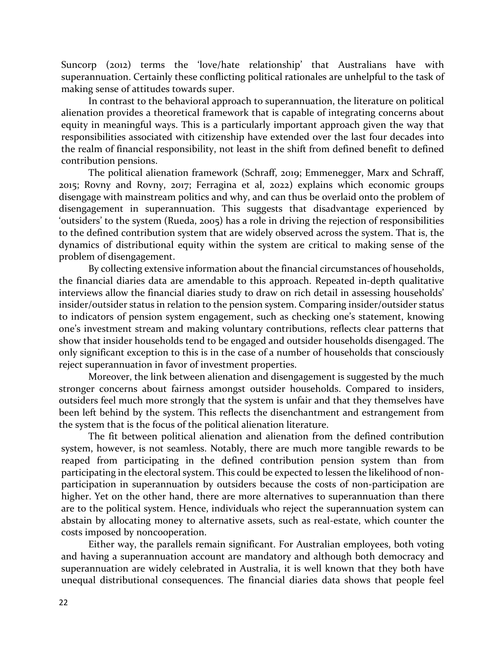Suncorp (2012) terms the 'love/hate relationship' that Australians have with superannuation. Certainly these conflicting political rationales are unhelpful to the task of making sense of attitudes towards super.

In contrast to the behavioral approach to superannuation, the literature on political alienation provides a theoretical framework that is capable of integrating concerns about equity in meaningful ways. This is a particularly important approach given the way that responsibilities associated with citizenship have extended over the last four decades into the realm of financial responsibility, not least in the shift from defined benefit to defined contribution pensions.

The political alienation framework (Schraff, 2019; Emmenegger, Marx and Schraff, 2015; Rovny and Rovny, 2017; Ferragina et al, 2022) explains which economic groups disengage with mainstream politics and why, and can thus be overlaid onto the problem of disengagement in superannuation. This suggests that disadvantage experienced by 'outsiders' to the system (Rueda, 2005) has a role in driving the rejection of responsibilities to the defined contribution system that are widely observed across the system. That is, the dynamics of distributional equity within the system are critical to making sense of the problem of disengagement.

By collecting extensive information about the financial circumstances of households, the financial diaries data are amendable to this approach. Repeated in-depth qualitative interviews allow the financial diaries study to draw on rich detail in assessing households' insider/outsider status in relation to the pension system. Comparing insider/outsider status to indicators of pension system engagement, such as checking one's statement, knowing one's investment stream and making voluntary contributions, reflects clear patterns that show that insider households tend to be engaged and outsider households disengaged. The only significant exception to this is in the case of a number of households that consciously reject superannuation in favor of investment properties.

Moreover, the link between alienation and disengagement is suggested by the much stronger concerns about fairness amongst outsider households. Compared to insiders, outsiders feel much more strongly that the system is unfair and that they themselves have been left behind by the system. This reflects the disenchantment and estrangement from the system that is the focus of the political alienation literature.

The fit between political alienation and alienation from the defined contribution system, however, is not seamless. Notably, there are much more tangible rewards to be reaped from participating in the defined contribution pension system than from participating in the electoral system. This could be expected to lessen the likelihood of nonparticipation in superannuation by outsiders because the costs of non-participation are higher. Yet on the other hand, there are more alternatives to superannuation than there are to the political system. Hence, individuals who reject the superannuation system can abstain by allocating money to alternative assets, such as real-estate, which counter the costs imposed by noncooperation.

Either way, the parallels remain significant. For Australian employees, both voting and having a superannuation account are mandatory and although both democracy and superannuation are widely celebrated in Australia, it is well known that they both have unequal distributional consequences. The financial diaries data shows that people feel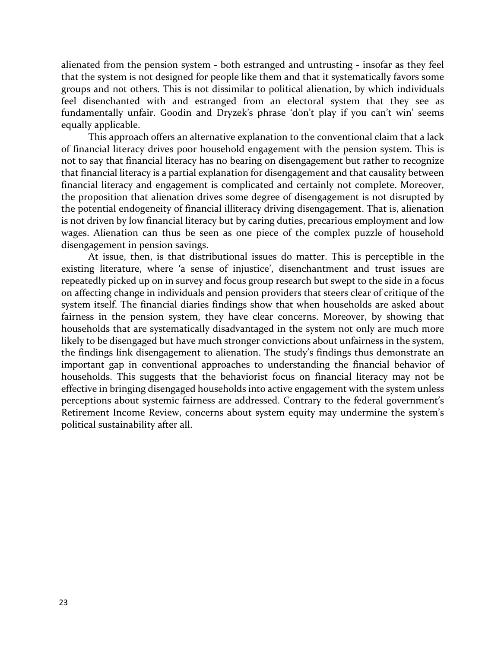alienated from the pension system - both estranged and untrusting - insofar as they feel that the system is not designed for people like them and that it systematically favors some groups and not others. This is not dissimilar to political alienation, by which individuals feel disenchanted with and estranged from an electoral system that they see as fundamentally unfair. Goodin and Dryzek's phrase 'don't play if you can't win' seems equally applicable.

This approach offers an alternative explanation to the conventional claim that a lack of financial literacy drives poor household engagement with the pension system. This is not to say that financial literacy has no bearing on disengagement but rather to recognize that financial literacy is a partial explanation for disengagement and that causality between financial literacy and engagement is complicated and certainly not complete. Moreover, the proposition that alienation drives some degree of disengagement is not disrupted by the potential endogeneity of financial illiteracy driving disengagement. That is, alienation is not driven by low financial literacy but by caring duties, precarious employment and low wages. Alienation can thus be seen as one piece of the complex puzzle of household disengagement in pension savings.

At issue, then, is that distributional issues do matter. This is perceptible in the existing literature, where 'a sense of injustice', disenchantment and trust issues are repeatedly picked up on in survey and focus group research but swept to the side in a focus on affecting change in individuals and pension providers that steers clear of critique of the system itself. The financial diaries findings show that when households are asked about fairness in the pension system, they have clear concerns. Moreover, by showing that households that are systematically disadvantaged in the system not only are much more likely to be disengaged but have much stronger convictions about unfairness in the system, the findings link disengagement to alienation. The study's findings thus demonstrate an important gap in conventional approaches to understanding the financial behavior of households. This suggests that the behaviorist focus on financial literacy may not be effective in bringing disengaged households into active engagement with the system unless perceptions about systemic fairness are addressed. Contrary to the federal government's Retirement Income Review, concerns about system equity may undermine the system's political sustainability after all.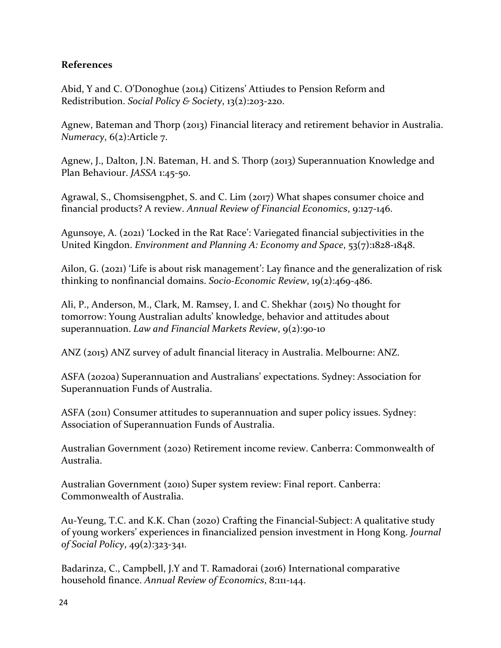# **References**

Abid, Y and C. O'Donoghue (2014) Citizens' Attiudes to Pension Reform and Redistribution. *Social Policy & Society*, 13(2):203-220.

Agnew, Bateman and Thorp (2013) Financial literacy and retirement behavior in Australia. *Numeracy*, 6(2):Article 7.

Agnew, J., Dalton, J.N. Bateman, H. and S. Thorp (2013) Superannuation Knowledge and Plan Behaviour. *JASSA* 1:45-50.

Agrawal, S., Chomsisengphet, S. and C. Lim (2017) What shapes consumer choice and financial products? A review. *Annual Review of Financial Economics*, 9:127-146.

Agunsoye, A. (2021) 'Locked in the Rat Race': Variegated financial subjectivities in the United Kingdon. *Environment and Planning A: Economy and Space*, 53(7):1828-1848.

Ailon, G. (2021) 'Life is about risk management': Lay finance and the generalization of risk thinking to nonfinancial domains. *Socio-Economic Review*, 19(2):469-486.

Ali, P., Anderson, M., Clark, M. Ramsey, I. and C. Shekhar (2015) No thought for tomorrow: Young Australian adults' knowledge, behavior and attitudes about superannuation. *Law and Financial Markets Review*, 9(2):90-10

ANZ (2015) ANZ survey of adult financial literacy in Australia. Melbourne: ANZ.

ASFA (2020a) Superannuation and Australians' expectations. Sydney: Association for Superannuation Funds of Australia.

ASFA (2011) Consumer attitudes to superannuation and super policy issues. Sydney: Association of Superannuation Funds of Australia.

Australian Government (2020) Retirement income review. Canberra: Commonwealth of Australia.

Australian Government (2010) Super system review: Final report. Canberra: Commonwealth of Australia.

Au-Yeung, T.C. and K.K. Chan (2020) Crafting the Financial-Subject: A qualitative study of young workers' experiences in financialized pension investment in Hong Kong. *Journal of Social Policy*, 49(2):323-341.

Badarinza, C., Campbell, J.Y and T. Ramadorai (2016) International comparative household finance. *Annual Review of Economics*, 8:111-144.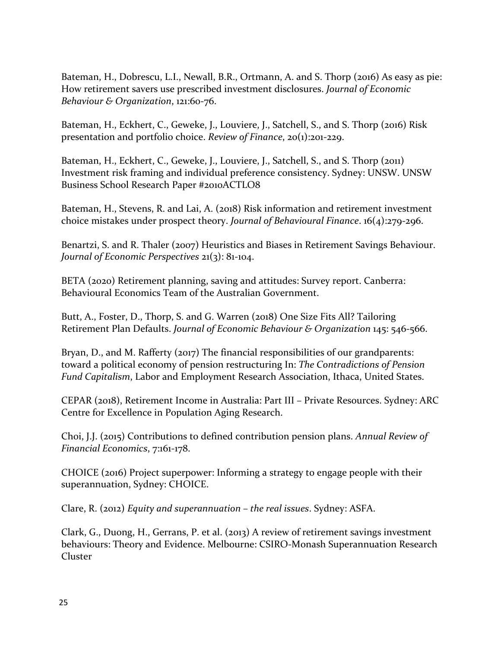Bateman, H., Dobrescu, L.I., Newall, B.R., Ortmann, A. and S. Thorp (2016) As easy as pie: How retirement savers use prescribed investment disclosures. *Journal of Economic Behaviour & Organization*, 121:60-76.

Bateman, H., Eckhert, C., Geweke, J., Louviere, J., Satchell, S., and S. Thorp (2016) Risk presentation and portfolio choice. *Review of Finance*, 20(1):201-229.

Bateman, H., Eckhert, C., Geweke, J., Louviere, J., Satchell, S., and S. Thorp (2011) Investment risk framing and individual preference consistency. Sydney: UNSW. UNSW Business School Research Paper #2010ACTLO8

Bateman, H., Stevens, R. and Lai, A. (2018) Risk information and retirement investment choice mistakes under prospect theory. *Journal of Behavioural Finance*. 16(4):279-296.

Benartzi, S. and R. Thaler (2007) Heuristics and Biases in Retirement Savings Behaviour. *Journal of Economic Perspectives* 21(3): 81-104.

BETA (2020) Retirement planning, saving and attitudes: Survey report. Canberra: Behavioural Economics Team of the Australian Government.

Butt, A., Foster, D., Thorp, S. and G. Warren (2018) One Size Fits All? Tailoring Retirement Plan Defaults. *Journal of Economic Behaviour & Organization* 145: 546-566.

Bryan, D., and M. Rafferty (2017) The financial responsibilities of our grandparents: [toward a political economy of pension restructuring](https://researchrepository.rmit.edu.au/esplorows/assetMapper?instCode=61RMIT_INST&path=http%3A%2F%2Fresearchbank.rmit.edu.au%2Fview%2Frmit%3A2006080102) In: *The Contradictions of Pension Fund Capitalism*, Labor and Employment Research Association, Ithaca, United States.

CEPAR (2018), Retirement Income in Australia: Part III – Private Resources. Sydney: ARC Centre for Excellence in Population Aging Research.

Choi, J.J. (2015) Contributions to defined contribution pension plans. *Annual Review of Financial Economics*, 7:161-178.

CHOICE (2016) Project superpower: Informing a strategy to engage people with their superannuation, Sydney: CHOICE.

Clare, R. (2012) *Equity and superannuation – the real issues*. Sydney: ASFA.

Clark, G., Duong, H., Gerrans, P. et al. (2013) A review of retirement savings investment behaviours: Theory and Evidence. Melbourne: CSIRO-Monash Superannuation Research Cluster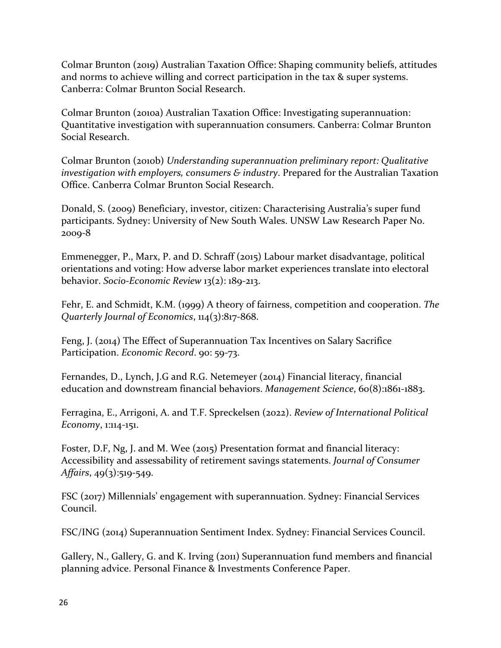Colmar Brunton (2019) Australian Taxation Office: Shaping community beliefs, attitudes and norms to achieve willing and correct participation in the tax & super systems. Canberra: Colmar Brunton Social Research.

Colmar Brunton (2010a) Australian Taxation Office: Investigating superannuation: Quantitative investigation with superannuation consumers. Canberra: Colmar Brunton Social Research.

Colmar Brunton (2010b) *Understanding superannuation preliminary report: Qualitative investigation with employers, consumers & industry*. Prepared for the Australian Taxation Office. Canberra Colmar Brunton Social Research.

Donald, S. (2009) Beneficiary, investor, citizen: Characterising Australia's super fund participants. Sydney: University of New South Wales. UNSW Law Research Paper No. 2009-8

Emmenegger, P., Marx, P. and D. Schraff (2015) Labour market disadvantage, political orientations and voting: How adverse labor market experiences translate into electoral behavior. *Socio-Economic Review* 13(2): 189-213.

Fehr, E. and Schmidt, K.M. (1999) A theory of fairness, competition and cooperation. *The Quarterly Journal of Economics*, 114(3):817-868.

Feng, J. (2014) The Effect of Superannuation Tax Incentives on Salary Sacrifice Participation. *Economic Record*. 90: 59-73.

Fernandes, D., Lynch, J.G and R.G. Netemeyer (2014) Financial literacy, financial education and downstream financial behaviors. *Management Science*, 60(8):1861-1883.

Ferragina, E., Arrigoni, A. and T.F. Spreckelsen (2022). *Review of International Political Economy*, 1:114-151.

Foster, D.F, Ng, J. and M. Wee (2015) Presentation format and financial literacy: Accessibility and assessability of retirement savings statements. *Journal of Consumer Affairs*, 49(3):519-549.

FSC (2017) Millennials' engagement with superannuation. Sydney: Financial Services Council.

FSC/ING (2014) Superannuation Sentiment Index. Sydney: Financial Services Council.

Gallery, N., Gallery, G. and K. Irving (2011) Superannuation fund members and financial planning advice. Personal Finance & Investments Conference Paper.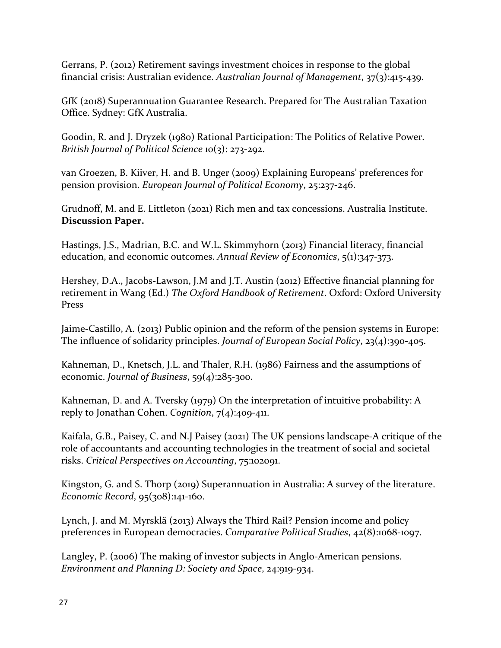Gerrans, P. (2012) Retirement savings investment choices in response to the global financial crisis: Australian evidence. *Australian Journal of Management*, 37(3):415-439.

GfK (2018) Superannuation Guarantee Research. Prepared for The Australian Taxation Office. Sydney: GfK Australia.

Goodin, R. and J. Dryzek (1980) Rational Participation: The Politics of Relative Power. *British Journal of Political Science* 10(3): 273-292.

van Groezen, B. Kiiver, H. and B. Unger (2009) Explaining Europeans' preferences for pension provision. *European Journal of Political Economy*, 25:237-246.

Grudnoff, M. and E. Littleton (2021) Rich men and tax concessions. Australia Institute. **Discussion Paper.**

Hastings, J.S., Madrian, B.C. and W.L. Skimmyhorn (2013) Financial literacy, financial education, and economic outcomes. *Annual Review of Economics*, 5(1):347-373.

Hershey, D.A., Jacobs-Lawson, J.M and J.T. Austin (2012) Effective financial planning for retirement in Wang (Ed.) *The Oxford Handbook of Retirement*. Oxford: Oxford University Press

Jaime-Castillo, A. (2013) Public opinion and the reform of the pension systems in Europe: The influence of solidarity principles. *Journal of European Social Policy*, 23(4):390-405.

Kahneman, D., Knetsch, J.L. and Thaler, R.H. (1986) Fairness and the assumptions of economic. *Journal of Business*, 59(4):285-300.

Kahneman, D. and A. Tversky (1979) On the interpretation of intuitive probability: A reply to Jonathan Cohen. *Cognition*, 7(4):409-411.

Kaifala, G.B., Paisey, C. and N.J Paisey (2021) The UK pensions landscape-A critique of the role of accountants and accounting technologies in the treatment of social and societal risks. *Critical Perspectives on Accounting*, 75:102091.

Kingston, G. and S. Thorp (2019) Superannuation in Australia: A survey of the literature. *Economic Record*, 95(308):141-160.

Lynch, J. and M. Myrsklä (2013) Always the Third Rail? Pension income and policy preferences in European democracies. *Comparative Political Studies*, 42(8):1068-1097.

Langley, P. (2006) The making of investor subjects in Anglo-American pensions. *Environment and Planning D: Society and Space*, 24:919-934.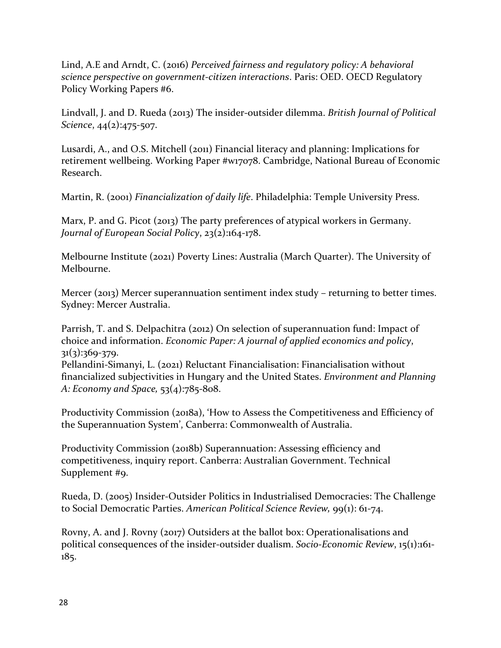Lind, A.E and Arndt, C. (2016) *Perceived fairness and regulatory policy: A behavioral science perspective on government-citizen interactions*. Paris: OED. OECD Regulatory Policy Working Papers #6.

Lindvall, J. and D. Rueda (2013) The insider-outsider dilemma. *British Journal of Political Science*, 44(2):475-507.

Lusardi, A., and O.S. Mitchell (2011) Financial literacy and planning: Implications for retirement wellbeing. Working Paper #w17078. Cambridge, National Bureau of Economic Research.

Martin, R. (2001) *Financialization of daily life*. Philadelphia: Temple University Press.

Marx, P. and G. Picot (2013) The party preferences of atypical workers in Germany. *Journal of European Social Policy*, 23(2):164-178.

Melbourne Institute (2021) Poverty Lines: Australia (March Quarter). The University of Melbourne.

Mercer (2013) Mercer superannuation sentiment index study – returning to better times. Sydney: Mercer Australia.

Parrish, T. and S. Delpachitra (2012) On selection of superannuation fund: Impact of choice and information. *Economic Paper: A journal of applied economics and policy*,  $31(3):369-379.$ 

Pellandini-Simanyi, L. (2021) Reluctant Financialisation: Financialisation without financialized subjectivities in Hungary and the United States. *Environment and Planning A: Economy and Space,* 53(4):785-808.

Productivity Commission (2018a), 'How to Assess the Competitiveness and Efficiency of the Superannuation System', Canberra: Commonwealth of Australia.

Productivity Commission (2018b) Superannuation: Assessing efficiency and competitiveness, inquiry report. Canberra: Australian Government. Technical Supplement #9.

Rueda, D. (2005) Insider-Outsider Politics in Industrialised Democracies: The Challenge to Social Democratic Parties. *American Political Science Review,* 99(1): 61-74.

Rovny, A. and J. Rovny (2017) Outsiders at the ballot box: Operationalisations and political consequences of the insider-outsider dualism. *Socio-Economic Review*, 15(1):161- 185.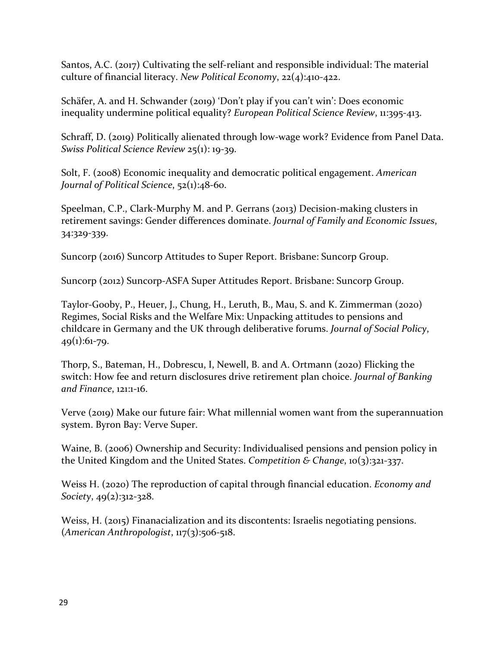Santos, A.C. (2017) Cultivating the self-reliant and responsible individual: The material culture of financial literacy. *New Political Economy*, 22(4):410-422.

Schäfer, A. and H. Schwander (2019) 'Don't play if you can't win': Does economic inequality undermine political equality? *European Political Science Review*, 11:395-413.

Schraff, D. (2019) Politically alienated through low-wage work? Evidence from Panel Data. *Swiss Political Science Review* 25(1): 19-39.

Solt, F. (2008) Economic inequality and democratic political engagement. *American Journal of Political Science*, 52(1):48-60.

Speelman, C.P., Clark-Murphy M. and P. Gerrans (2013) Decision-making clusters in retirement savings: Gender differences dominate. *Journal of Family and Economic Issues*, 34:329-339.

Suncorp (2016) Suncorp Attitudes to Super Report. Brisbane: Suncorp Group.

Suncorp (2012) Suncorp-ASFA Super Attitudes Report. Brisbane: Suncorp Group.

Taylor-Gooby, P., Heuer, J., Chung, H., Leruth, B., Mau, S. and K. Zimmerman (2020) Regimes, Social Risks and the Welfare Mix: Unpacking attitudes to pensions and childcare in Germany and the UK through deliberative forums. *Journal of Social Policy*,  $49(1):61-79.$ 

Thorp, S., Bateman, H., Dobrescu, I, Newell, B. and A. Ortmann (2020) Flicking the switch: How fee and return disclosures drive retirement plan choice. *Journal of Banking and Finance*, 121:1-16.

Verve (2019) Make our future fair: What millennial women want from the superannuation system. Byron Bay: Verve Super.

Waine, B. (2006) Ownership and Security: Individualised pensions and pension policy in the United Kingdom and the United States. *Competition & Change*, 10(3):321-337.

Weiss H. (2020) The reproduction of capital through financial education. *Economy and Society*, 49(2):312-328.

Weiss, H. (2015) Finanacialization and its discontents: Israelis negotiating pensions. (*American Anthropologist*, 117(3):506-518.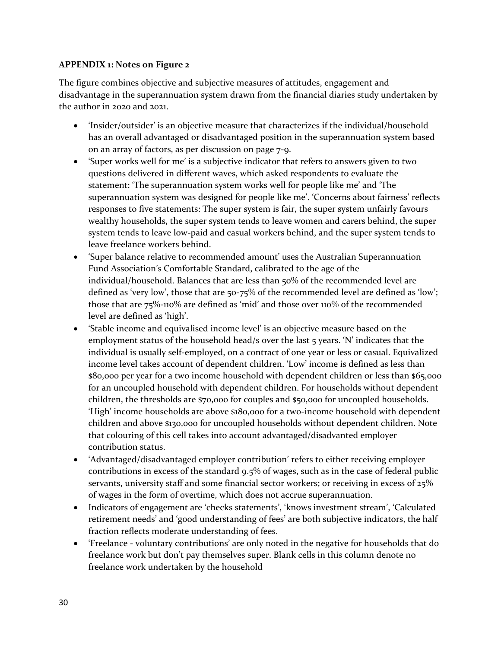#### **APPENDIX 1: Notes on Figure 2**

The figure combines objective and subjective measures of attitudes, engagement and disadvantage in the superannuation system drawn from the financial diaries study undertaken by the author in 2020 and 2021.

- 'Insider/outsider' is an objective measure that characterizes if the individual/household has an overall advantaged or disadvantaged position in the superannuation system based on an array of factors, as per discussion on page 7-9.
- 'Super works well for me' is a subjective indicator that refers to answers given to two questions delivered in different waves, which asked respondents to evaluate the statement: 'The superannuation system works well for people like me' and 'The superannuation system was designed for people like me'. 'Concerns about fairness' reflects responses to five statements: The super system is fair, the super system unfairly favours wealthy households, the super system tends to leave women and carers behind, the super system tends to leave low-paid and casual workers behind, and the super system tends to leave freelance workers behind.
- 'Super balance relative to recommended amount' uses the Australian Superannuation Fund Association's Comfortable Standard, calibrated to the age of the individual/household. Balances that are less than 50% of the recommended level are defined as 'very low', those that are 50-75% of the recommended level are defined as 'low'; those that are 75%-110% are defined as 'mid' and those over 110% of the recommended level are defined as 'high'.
- 'Stable income and equivalised income level' is an objective measure based on the employment status of the household head/s over the last 5 years. 'N' indicates that the individual is usually self-employed, on a contract of one year or less or casual. Equivalized income level takes account of dependent children. 'Low' income is defined as less than \$80,000 per year for a two income household with dependent children or less than \$65,000 for an uncoupled household with dependent children. For households without dependent children, the thresholds are \$70,000 for couples and \$50,000 for uncoupled households. 'High' income households are above \$180,000 for a two-income household with dependent children and above \$130,000 for uncoupled households without dependent children. Note that colouring of this cell takes into account advantaged/disadvanted employer contribution status.
- 'Advantaged/disadvantaged employer contribution' refers to either receiving employer contributions in excess of the standard 9.5% of wages, such as in the case of federal public servants, university staff and some financial sector workers; or receiving in excess of 25% of wages in the form of overtime, which does not accrue superannuation.
- Indicators of engagement are 'checks statements', 'knows investment stream', 'Calculated retirement needs' and 'good understanding of fees' are both subjective indicators, the half fraction reflects moderate understanding of fees.
- 'Freelance voluntary contributions' are only noted in the negative for households that do freelance work but don't pay themselves super. Blank cells in this column denote no freelance work undertaken by the household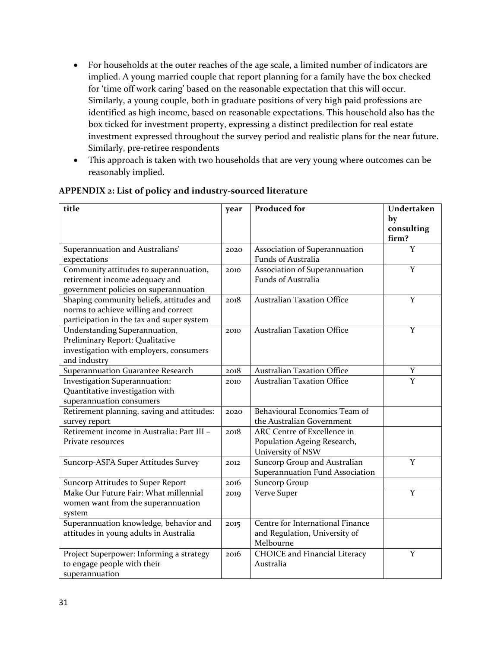- For households at the outer reaches of the age scale, a limited number of indicators are implied. A young married couple that report planning for a family have the box checked for 'time off work caring' based on the reasonable expectation that this will occur. Similarly, a young couple, both in graduate positions of very high paid professions are identified as high income, based on reasonable expectations. This household also has the box ticked for investment property, expressing a distinct predilection for real estate investment expressed throughout the survey period and realistic plans for the near future. Similarly, pre-retiree respondents
- This approach is taken with two households that are very young where outcomes can be reasonably implied.

| title                                      | year | <b>Produced for</b>                  | Undertaken |  |  |  |
|--------------------------------------------|------|--------------------------------------|------------|--|--|--|
|                                            |      |                                      | by         |  |  |  |
|                                            |      |                                      | consulting |  |  |  |
|                                            |      |                                      | firm?      |  |  |  |
| Superannuation and Australians'            | 2020 | Association of Superannuation        | Y          |  |  |  |
| expectations                               |      | Funds of Australia                   |            |  |  |  |
| Community attitudes to superannuation,     | 2010 | Association of Superannuation        | Y          |  |  |  |
| retirement income adequacy and             |      | Funds of Australia                   |            |  |  |  |
| government policies on superannuation      |      |                                      |            |  |  |  |
| Shaping community beliefs, attitudes and   | 2018 | <b>Australian Taxation Office</b>    | Y          |  |  |  |
| norms to achieve willing and correct       |      |                                      |            |  |  |  |
| participation in the tax and super system  |      |                                      |            |  |  |  |
| Understanding Superannuation,              | 2010 | <b>Australian Taxation Office</b>    | Y          |  |  |  |
| Preliminary Report: Qualitative            |      |                                      |            |  |  |  |
| investigation with employers, consumers    |      |                                      |            |  |  |  |
| and industry                               |      |                                      |            |  |  |  |
| Superannuation Guarantee Research          | 2018 | <b>Australian Taxation Office</b>    | Y          |  |  |  |
| Investigation Superannuation:              | 2010 | <b>Australian Taxation Office</b>    | Y          |  |  |  |
| Quantitative investigation with            |      |                                      |            |  |  |  |
| superannuation consumers                   |      |                                      |            |  |  |  |
| Retirement planning, saving and attitudes: | 2020 | Behavioural Economics Team of        |            |  |  |  |
| survey report                              |      | the Australian Government            |            |  |  |  |
| Retirement income in Australia: Part III - | 2018 | ARC Centre of Excellence in          |            |  |  |  |
| Private resources                          |      | Population Ageing Research,          |            |  |  |  |
|                                            |      | University of NSW                    |            |  |  |  |
| Suncorp-ASFA Super Attitudes Survey        | 2012 | Suncorp Group and Australian         | Y          |  |  |  |
|                                            |      | Superannuation Fund Association      |            |  |  |  |
| Suncorp Attitudes to Super Report          | 2016 | <b>Suncorp Group</b>                 |            |  |  |  |
| Make Our Future Fair: What millennial      | 2019 | Verve Super                          | Y          |  |  |  |
| women want from the superannuation         |      |                                      |            |  |  |  |
| system                                     |      |                                      |            |  |  |  |
| Superannuation knowledge, behavior and     | 2015 | Centre for International Finance     |            |  |  |  |
| attitudes in young adults in Australia     |      | and Regulation, University of        |            |  |  |  |
|                                            |      | Melbourne                            |            |  |  |  |
| Project Superpower: Informing a strategy   | 2016 | <b>CHOICE</b> and Financial Literacy | Y          |  |  |  |
| to engage people with their                |      | Australia                            |            |  |  |  |
| superannuation                             |      |                                      |            |  |  |  |

#### **APPENDIX 2: List of policy and industry-sourced literature**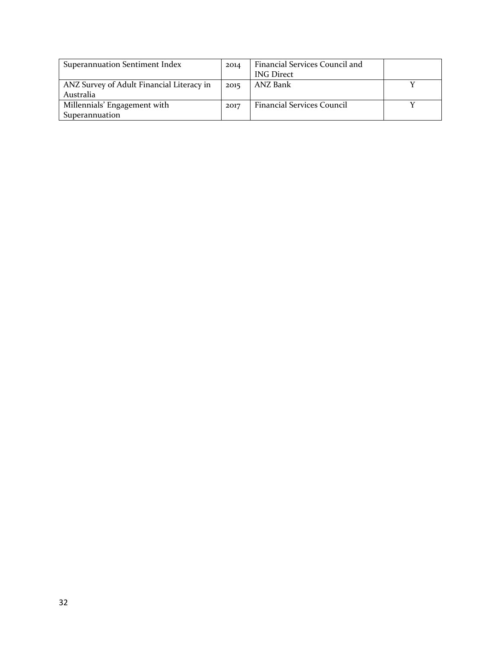| Superannuation Sentiment Index            | 2014 | Financial Services Council and    |  |
|-------------------------------------------|------|-----------------------------------|--|
|                                           |      | <b>ING Direct</b>                 |  |
| ANZ Survey of Adult Financial Literacy in | 2015 | ANZ Bank                          |  |
| Australia                                 |      |                                   |  |
| Millennials' Engagement with              | 2017 | <b>Financial Services Council</b> |  |
| Superannuation                            |      |                                   |  |